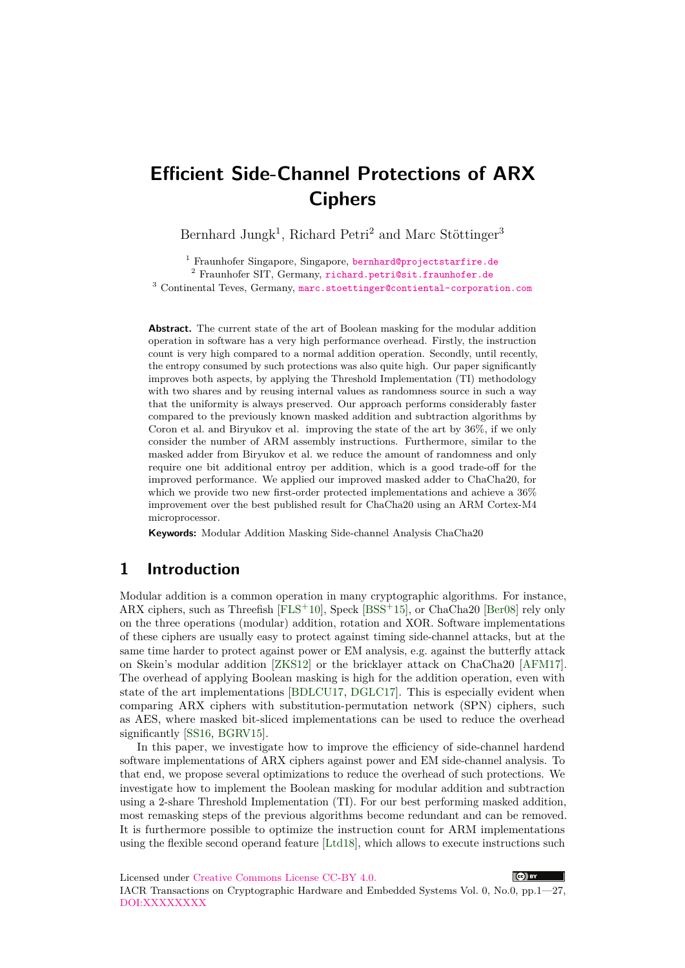# **Efficient Side-Channel Protections of ARX Ciphers**

Bernhard Jungk<sup>1</sup>, Richard Petri<sup>2</sup> and Marc Stöttinger<sup>3</sup>

<sup>1</sup> Fraunhofer Singapore, Singapore, [bernhard@projectstarfire.de](mailto:bernhard@projectstarfire.de)

<sup>2</sup> Fraunhofer SIT, Germany, [richard.petri@sit.fraunhofer.de](mailto:richard.petri@sit.fraunhofer.de)

<sup>3</sup> Continental Teves, Germany, [marc.stoettinger@contiental-corporation.com](mailto:marc.stoettinger@contiental-corporation.com)

**Abstract.** The current state of the art of Boolean masking for the modular addition operation in software has a very high performance overhead. Firstly, the instruction count is very high compared to a normal addition operation. Secondly, until recently, the entropy consumed by such protections was also quite high. Our paper significantly improves both aspects, by applying the Threshold Implementation (TI) methodology with two shares and by reusing internal values as randomness source in such a way that the uniformity is always preserved. Our approach performs considerably faster compared to the previously known masked addition and subtraction algorithms by Coron et al. and Biryukov et al. improving the state of the art by 36%, if we only consider the number of ARM assembly instructions. Furthermore, similar to the masked adder from Biryukov et al. we reduce the amount of randomness and only require one bit additional entroy per addition, which is a good trade-off for the improved performance. We applied our improved masked adder to ChaCha20, for which we provide two new first-order protected implementations and achieve a 36% improvement over the best published result for ChaCha20 using an ARM Cortex-M4 microprocessor.

**Keywords:** Modular Addition Masking Side-channel Analysis ChaCha20

# **1 Introduction**

Modular addition is a common operation in many cryptographic algorithms. For instance, ARX ciphers, such as Threefish  $[FLS+10]$  $[FLS+10]$ , Speck  $[BSS+15]$  $[BSS+15]$ , or ChaCha20  $[Ber08]$  rely only on the three operations (modular) addition, rotation and XOR. Software implementations of these ciphers are usually easy to protect against timing side-channel attacks, but at the same time harder to protect against power or EM analysis, e.g. against the butterfly attack on Skein's modular addition [\[ZKS12\]](#page-26-0) or the bricklayer attack on ChaCha20 [\[AFM17\]](#page-23-0). The overhead of applying Boolean masking is high for the addition operation, even with state of the art implementations [\[BDLCU17,](#page-24-2) [DGLC17\]](#page-25-1). This is especially evident when comparing ARX ciphers with substitution-permutation network (SPN) ciphers, such as AES, where masked bit-sliced implementations can be used to reduce the overhead significantly [\[SS16,](#page-26-1) [BGRV15\]](#page-24-3).

In this paper, we investigate how to improve the efficiency of side-channel hardend software implementations of ARX ciphers against power and EM side-channel analysis. To that end, we propose several optimizations to reduce the overhead of such protections. We investigate how to implement the Boolean masking for modular addition and subtraction using a 2-share Threshold Implementation (TI). For our best performing masked addition, most remasking steps of the previous algorithms become redundant and can be removed. It is furthermore possible to optimize the instruction count for ARM implementations using the flexible second operand feature [\[Ltd18\]](#page-25-2), which allows to execute instructions such

Licensed under [Creative Commons License CC-BY 4.0.](http://creativecommons.org/licenses/by/4.0/)  $\left( \operatorname*{cc}\right)$   $\operatorname*{BY}$ IACR Transactions on Cryptographic Hardware and Embedded Systems Vol. 0, No.0, pp.1—27, [DOI:XXXXXXXX](https://doi.org/XXXXXXXX)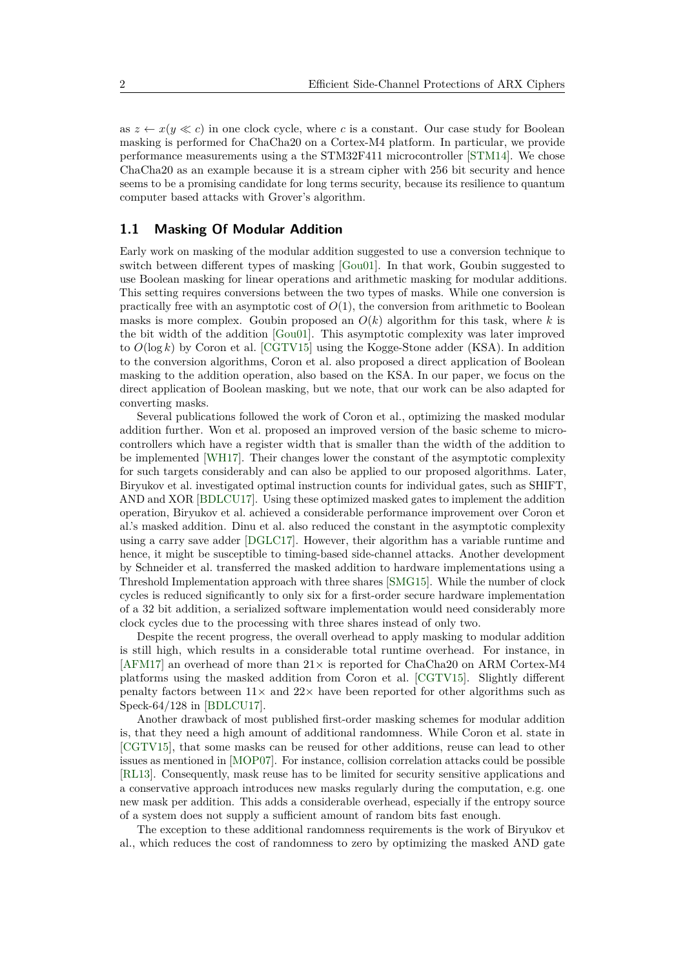as  $z \leftarrow x(y \ll c)$  in one clock cycle, where c is a constant. Our case study for Boolean masking is performed for ChaCha20 on a Cortex-M4 platform. In particular, we provide performance measurements using a the STM32F411 microcontroller [\[STM14\]](#page-26-2). We chose ChaCha20 as an example because it is a stream cipher with 256 bit security and hence seems to be a promising candidate for long terms security, because its resilience to quantum computer based attacks with Grover's algorithm.

#### **1.1 Masking Of Modular Addition**

Early work on masking of the modular addition suggested to use a conversion technique to switch between different types of masking [\[Gou01\]](#page-25-3). In that work, Goubin suggested to use Boolean masking for linear operations and arithmetic masking for modular additions. This setting requires conversions between the two types of masks. While one conversion is practically free with an asymptotic cost of  $O(1)$ , the conversion from arithmetic to Boolean masks is more complex. Goubin proposed an  $O(k)$  algorithm for this task, where  $k$  is the bit width of the addition [\[Gou01\]](#page-25-3). This asymptotic complexity was later improved to  $O(\log k)$  by Coron et al. [\[CGTV15\]](#page-24-4) using the Kogge-Stone adder (KSA). In addition to the conversion algorithms, Coron et al. also proposed a direct application of Boolean masking to the addition operation, also based on the KSA. In our paper, we focus on the direct application of Boolean masking, but we note, that our work can be also adapted for converting masks.

Several publications followed the work of Coron et al., optimizing the masked modular addition further. Won et al. proposed an improved version of the basic scheme to microcontrollers which have a register width that is smaller than the width of the addition to be implemented [\[WH17\]](#page-26-3). Their changes lower the constant of the asymptotic complexity for such targets considerably and can also be applied to our proposed algorithms. Later, Biryukov et al. investigated optimal instruction counts for individual gates, such as SHIFT, AND and XOR [\[BDLCU17\]](#page-24-2). Using these optimized masked gates to implement the addition operation, Biryukov et al. achieved a considerable performance improvement over Coron et al.'s masked addition. Dinu et al. also reduced the constant in the asymptotic complexity using a carry save adder [\[DGLC17\]](#page-25-1). However, their algorithm has a variable runtime and hence, it might be susceptible to timing-based side-channel attacks. Another development by Schneider et al. transferred the masked addition to hardware implementations using a Threshold Implementation approach with three shares [\[SMG15\]](#page-26-4). While the number of clock cycles is reduced significantly to only six for a first-order secure hardware implementation of a 32 bit addition, a serialized software implementation would need considerably more clock cycles due to the processing with three shares instead of only two.

Despite the recent progress, the overall overhead to apply masking to modular addition is still high, which results in a considerable total runtime overhead. For instance, in  $[AFM17]$  an overhead of more than  $21 \times$  is reported for ChaCha20 on ARM Cortex-M4 platforms using the masked addition from Coron et al. [\[CGTV15\]](#page-24-4). Slightly different penalty factors between  $11\times$  and  $22\times$  have been reported for other algorithms such as Speck-64/128 in [\[BDLCU17\]](#page-24-2).

Another drawback of most published first-order masking schemes for modular addition is, that they need a high amount of additional randomness. While Coron et al. state in [\[CGTV15\]](#page-24-4), that some masks can be reused for other additions, reuse can lead to other issues as mentioned in [\[MOP07\]](#page-25-4). For instance, collision correlation attacks could be possible [\[RL13\]](#page-26-5). Consequently, mask reuse has to be limited for security sensitive applications and a conservative approach introduces new masks regularly during the computation, e.g. one new mask per addition. This adds a considerable overhead, especially if the entropy source of a system does not supply a sufficient amount of random bits fast enough.

The exception to these additional randomness requirements is the work of Biryukov et al., which reduces the cost of randomness to zero by optimizing the masked AND gate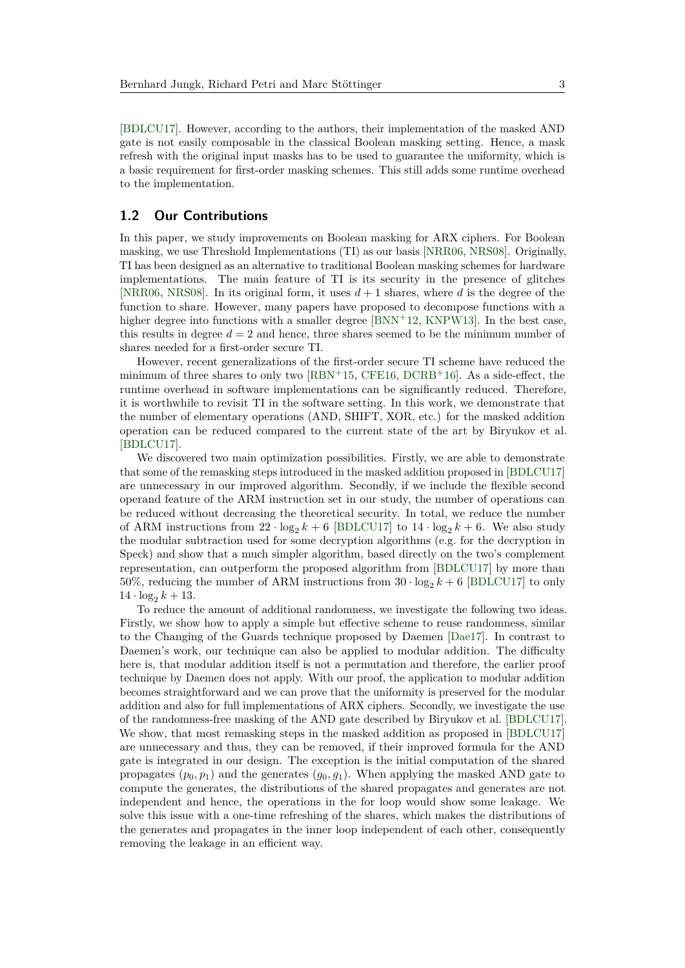[\[BDLCU17\]](#page-24-2). However, according to the authors, their implementation of the masked AND gate is not easily composable in the classical Boolean masking setting. Hence, a mask refresh with the original input masks has to be used to guarantee the uniformity, which is a basic requirement for first-order masking schemes. This still adds some runtime overhead to the implementation.

#### **1.2 Our Contributions**

In this paper, we study improvements on Boolean masking for ARX ciphers. For Boolean masking, we use Threshold Implementations (TI) as our basis [\[NRR06,](#page-25-5) [NRS08\]](#page-25-6). Originally, TI has been designed as an alternative to traditional Boolean masking schemes for hardware implementations. The main feature of TI is its security in the presence of glitches [\[NRR06,](#page-25-5) [NRS08\]](#page-25-6). In its original form, it uses  $d+1$  shares, where d is the degree of the function to share. However, many papers have proposed to decompose functions with a higher degree into functions with a smaller degree [\[BNN](#page-24-5)+12, [KNPW13\]](#page-25-7). In the best case, this results in degree  $d = 2$  and hence, three shares seemed to be the minimum number of shares needed for a first-order secure TI.

However, recent generalizations of the first-order secure TI scheme have reduced the minimum of three shares to only two  $[RBN+15, CFE16, DCRB+16]$  $[RBN+15, CFE16, DCRB+16]$  $[RBN+15, CFE16, DCRB+16]$  $[RBN+15, CFE16, DCRB+16]$  $[RBN+15, CFE16, DCRB+16]$  $[RBN+15, CFE16, DCRB+16]$ . As a side-effect, the runtime overhead in software implementations can be significantly reduced. Therefore, it is worthwhile to revisit TI in the software setting. In this work, we demonstrate that the number of elementary operations (AND, SHIFT, XOR, etc.) for the masked addition operation can be reduced compared to the current state of the art by Biryukov et al. [\[BDLCU17\]](#page-24-2).

We discovered two main optimization possibilities. Firstly, we are able to demonstrate that some of the remasking steps introduced in the masked addition proposed in [\[BDLCU17\]](#page-24-2) are unnecessary in our improved algorithm. Secondly, if we include the flexible second operand feature of the ARM instruction set in our study, the number of operations can be reduced without decreasing the theoretical security. In total, we reduce the number of ARM instructions from  $22 \cdot \log_2 k + 6$  [\[BDLCU17\]](#page-24-2) to  $14 \cdot \log_2 k + 6$ . We also study the modular subtraction used for some decryption algorithms (e.g. for the decryption in Speck) and show that a much simpler algorithm, based directly on the two's complement representation, can outperform the proposed algorithm from [\[BDLCU17\]](#page-24-2) by more than 50%, reducing the number of ARM instructions from  $30 \cdot \log_2 k + 6$  [\[BDLCU17\]](#page-24-2) to only  $14 \cdot \log_2 k + 13.$ 

To reduce the amount of additional randomness, we investigate the following two ideas. Firstly, we show how to apply a simple but effective scheme to reuse randomness, similar to the Changing of the Guards technique proposed by Daemen [\[Dae17\]](#page-24-7). In contrast to Daemen's work, our technique can also be applied to modular addition. The difficulty here is, that modular addition itself is not a permutation and therefore, the earlier proof technique by Daemen does not apply. With our proof, the application to modular addition becomes straightforward and we can prove that the uniformity is preserved for the modular addition and also for full implementations of ARX ciphers. Secondly, we investigate the use of the randomness-free masking of the AND gate described by Biryukov et al. [\[BDLCU17\]](#page-24-2). We show, that most remasking steps in the masked addition as proposed in [\[BDLCU17\]](#page-24-2) are unnecessary and thus, they can be removed, if their improved formula for the AND gate is integrated in our design. The exception is the initial computation of the shared propagates  $(p_0, p_1)$  and the generates  $(g_0, g_1)$ . When applying the masked AND gate to compute the generates, the distributions of the shared propagates and generates are not independent and hence, the operations in the for loop would show some leakage. We solve this issue with a one-time refreshing of the shares, which makes the distributions of the generates and propagates in the inner loop independent of each other, consequently removing the leakage in an efficient way.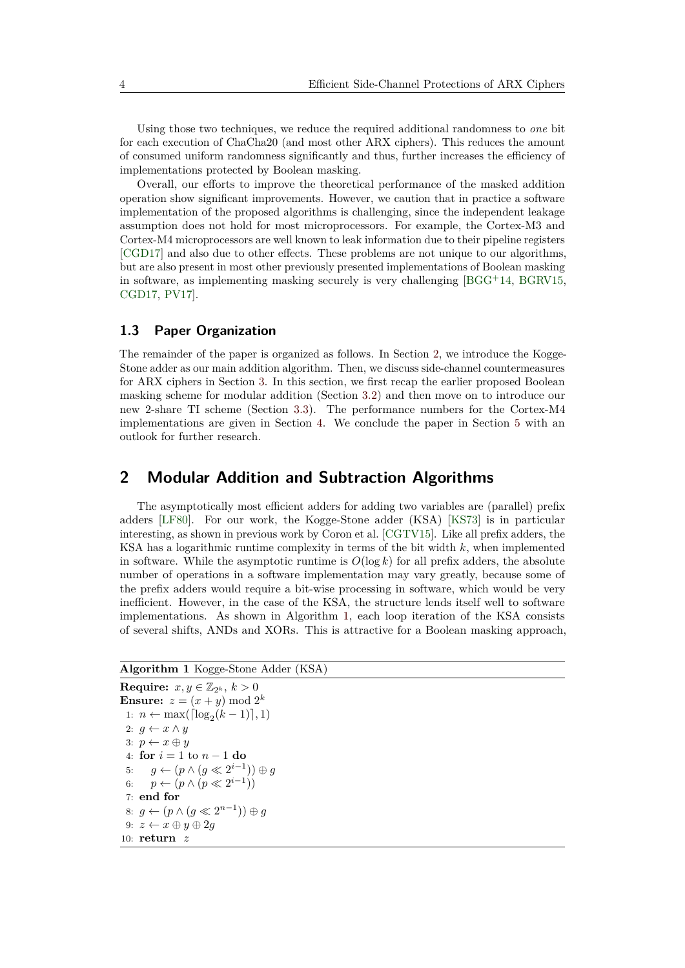Using those two techniques, we reduce the required additional randomness to *one* bit for each execution of ChaCha20 (and most other ARX ciphers). This reduces the amount of consumed uniform randomness significantly and thus, further increases the efficiency of implementations protected by Boolean masking.

Overall, our efforts to improve the theoretical performance of the masked addition operation show significant improvements. However, we caution that in practice a software implementation of the proposed algorithms is challenging, since the independent leakage assumption does not hold for most microprocessors. For example, the Cortex-M3 and Cortex-M4 microprocessors are well known to leak information due to their pipeline registers [\[CGD17\]](#page-24-8) and also due to other effects. These problems are not unique to our algorithms, but are also present in most other previously presented implementations of Boolean masking in software, as implementing masking securely is very challenging  $[BGG^+14, BGRV15,$  $[BGG^+14, BGRV15,$  $[BGG^+14, BGRV15,$ [CGD17,](#page-24-8) [PV17\]](#page-26-7).

#### **1.3 Paper Organization**

The remainder of the paper is organized as follows. In Section [2,](#page-3-0) we introduce the Kogge-Stone adder as our main addition algorithm. Then, we discuss side-channel countermeasures for ARX ciphers in Section [3.](#page-5-0) In this section, we first recap the earlier proposed Boolean masking scheme for modular addition (Section [3.2\)](#page-6-0) and then move on to introduce our new 2-share TI scheme (Section [3.3\)](#page-6-1). The performance numbers for the Cortex-M4 implementations are given in Section [4.](#page-15-0) We conclude the paper in Section [5](#page-16-0) with an outlook for further research.

# <span id="page-3-0"></span>**2 Modular Addition and Subtraction Algorithms**

The asymptotically most efficient adders for adding two variables are (parallel) prefix adders [\[LF80\]](#page-25-9). For our work, the Kogge-Stone adder (KSA) [\[KS73\]](#page-25-10) is in particular interesting, as shown in previous work by Coron et al. [\[CGTV15\]](#page-24-4). Like all prefix adders, the KSA has a logarithmic runtime complexity in terms of the bit width *k*, when implemented in software. While the asymptotic runtime is  $O(\log k)$  for all prefix adders, the absolute number of operations in a software implementation may vary greatly, because some of the prefix adders would require a bit-wise processing in software, which would be very inefficient. However, in the case of the KSA, the structure lends itself well to software implementations. As shown in Algorithm [1,](#page-3-1) each loop iteration of the KSA consists of several shifts, ANDs and XORs. This is attractive for a Boolean masking approach,

#### <span id="page-3-1"></span>**Algorithm 1** Kogge-Stone Adder (KSA)

```
Require: x, y \in \mathbb{Z}_{2^k}, k > 0Ensure: z = (x + y) \bmod 2^k1: n \leftarrow \max(\lceil \log_2(k-1) \rceil, 1)2: g \leftarrow x \land y3: p \leftarrow x \oplus y4: for i = 1 to n − 1 do
  5: g \leftarrow (p \land (g \ll 2^{i-1})) \oplus g6: p \leftarrow (p \land (p \ll 2^{i-1}))7: end for
  8: g \leftarrow (p \land (g \ll 2^{n-1})) \oplus g9: z \leftarrow x \oplus y \oplus 2g10: return z
```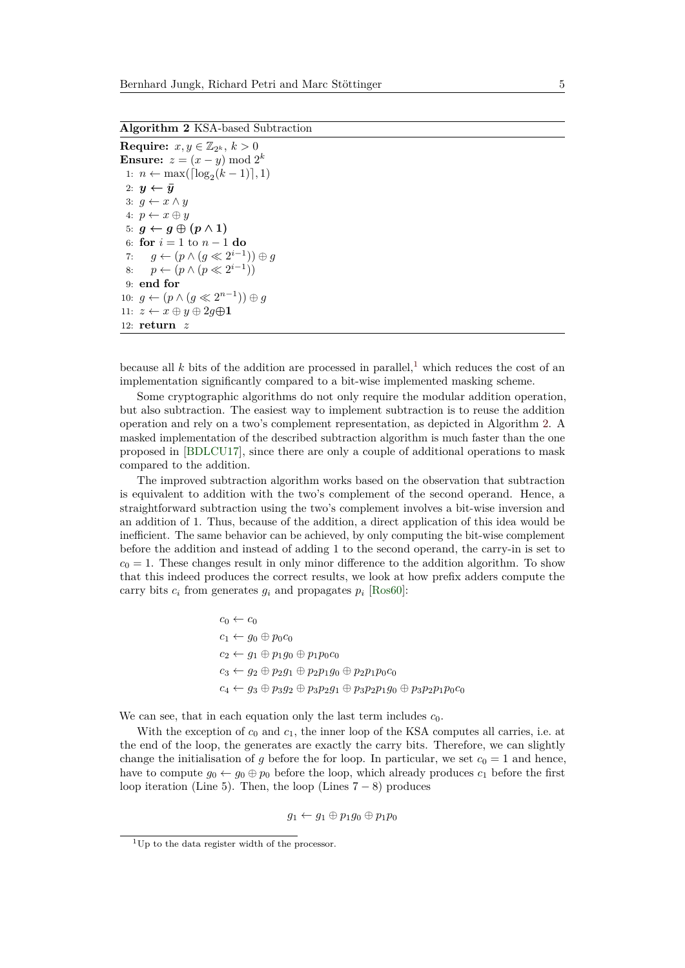<span id="page-4-1"></span>**Algorithm 2** KSA-based Subtraction

```
Require: x, y \in \mathbb{Z}_{2^k}, k > 0Ensure: z = (x - y) \mod 2^k1: n \leftarrow \max(\lceil \log_2(k-1) \rceil, 1)2: y \leftarrow \bar{y}3: g ← x ∧ y
  4: p \leftarrow x \oplus y5: g \leftarrow g \oplus (p \wedge 1)6: for i = 1 to n − 1 do
  7: g \leftarrow (p \land (g \ll 2^{i-1})) \oplus g8: p \leftarrow (p \land (p \ll 2^{i-1}))9: end for
 10: g \leftarrow (p \land (g \ll 2^{n-1})) \oplus g11: z \leftarrow x \oplus y \oplus 2g \oplus 112: return z
```
because all  $k$  bits of the addition are processed in parallel,<sup>[1](#page-4-0)</sup> which reduces the cost of an implementation significantly compared to a bit-wise implemented masking scheme.

Some cryptographic algorithms do not only require the modular addition operation, but also subtraction. The easiest way to implement subtraction is to reuse the addition operation and rely on a two's complement representation, as depicted in Algorithm [2.](#page-4-1) A masked implementation of the described subtraction algorithm is much faster than the one proposed in [\[BDLCU17\]](#page-24-2), since there are only a couple of additional operations to mask compared to the addition.

The improved subtraction algorithm works based on the observation that subtraction is equivalent to addition with the two's complement of the second operand. Hence, a straightforward subtraction using the two's complement involves a bit-wise inversion and an addition of 1. Thus, because of the addition, a direct application of this idea would be inefficient. The same behavior can be achieved, by only computing the bit-wise complement before the addition and instead of adding 1 to the second operand, the carry-in is set to  $c_0 = 1$ . These changes result in only minor difference to the addition algorithm. To show that this indeed produces the correct results, we look at how prefix adders compute the carry bits  $c_i$  from generates  $g_i$  and propagates  $p_i$  [\[Ros60\]](#page-26-8):

> $c_0 \leftarrow c_0$  $c_1 \leftarrow q_0 \oplus p_0 c_0$  $c_2$  ←  $g_1$  ⊕  $p_1g_0$  ⊕  $p_1p_0c_0$  $c_3$  ←  $g_2$  ⊕  $p_2g_1$  ⊕  $p_2p_1g_0$  ⊕  $p_2p_1p_0c_0$  $c_4 \leftarrow g_3 \oplus p_3 g_2 \oplus p_3 p_2 g_1 \oplus p_3 p_2 p_1 g_0 \oplus p_3 p_2 p_1 p_0 c_0$

We can see, that in each equation only the last term includes  $c_0$ .

With the exception of  $c_0$  and  $c_1$ , the inner loop of the KSA computes all carries, i.e. at the end of the loop, the generates are exactly the carry bits. Therefore, we can slightly change the initialisation of *g* before the for loop. In particular, we set  $c_0 = 1$  and hence, have to compute  $g_0 \leftarrow g_0 \oplus p_0$  before the loop, which already produces  $c_1$  before the first loop iteration (Line 5). Then, the loop (Lines  $7-8$ ) produces

 $g_1 \leftarrow g_1 \oplus p_1 g_0 \oplus p_1 p_0$ 

<span id="page-4-0"></span> $\rm ^1Up$  to the data register width of the processor.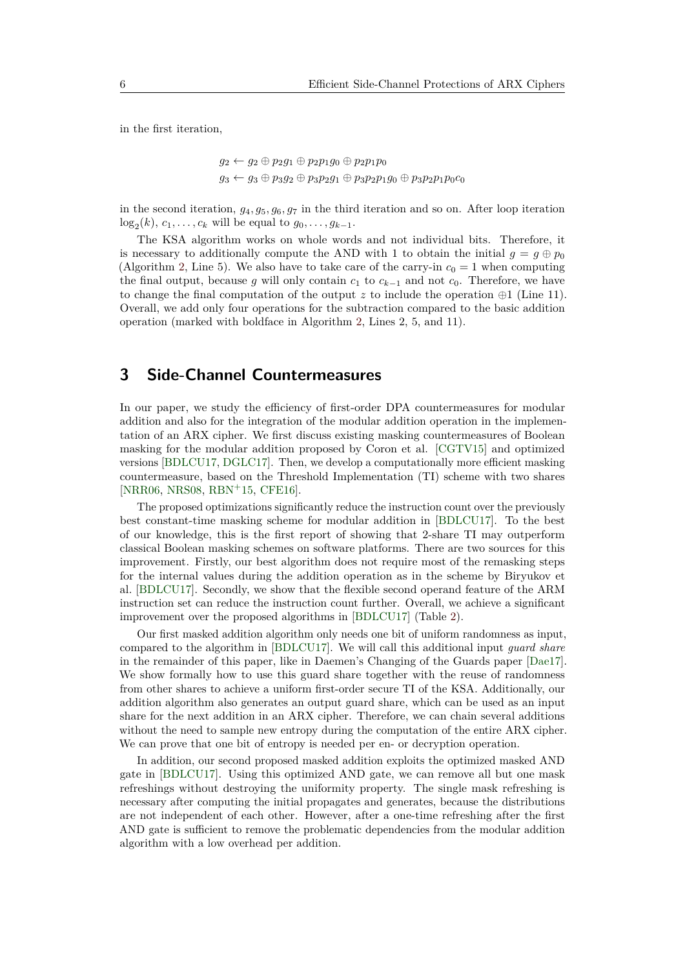in the first iteration,

 $g_2 \leftarrow g_2 \oplus p_2 g_1 \oplus p_2 p_1 g_0 \oplus p_2 p_1 p_0$ *g*<sup>3</sup> ← *g*<sup>3</sup> ⊕ *p*3*g*<sup>2</sup> ⊕ *p*3*p*2*g*<sup>1</sup> ⊕ *p*3*p*2*p*1*g*<sup>0</sup> ⊕ *p*3*p*2*p*1*p*0*c*<sup>0</sup>

in the second iteration,  $g_4, g_5, g_6, g_7$  in the third iteration and so on. After loop iteration  $\log_2(k), c_1, \ldots, c_k$  will be equal to  $g_0, \ldots, g_{k-1}.$ 

The KSA algorithm works on whole words and not individual bits. Therefore, it is necessary to additionally compute the AND with 1 to obtain the initial  $g = g \oplus p_0$ (Algorithm [2,](#page-4-1) Line 5). We also have to take care of the carry-in  $c_0 = 1$  when computing the final output, because  $g$  will only contain  $c_1$  to  $c_{k-1}$  and not  $c_0$ . Therefore, we have to change the final computation of the output  $z$  to include the operation  $\oplus$ 1 (Line 11). Overall, we add only four operations for the subtraction compared to the basic addition operation (marked with boldface in Algorithm [2,](#page-4-1) Lines 2, 5, and 11).

# <span id="page-5-0"></span>**3 Side-Channel Countermeasures**

In our paper, we study the efficiency of first-order DPA countermeasures for modular addition and also for the integration of the modular addition operation in the implementation of an ARX cipher. We first discuss existing masking countermeasures of Boolean masking for the modular addition proposed by Coron et al. [\[CGTV15\]](#page-24-4) and optimized versions [\[BDLCU17,](#page-24-2) [DGLC17\]](#page-25-1). Then, we develop a computationally more efficient masking countermeasure, based on the Threshold Implementation (TI) scheme with two shares [\[NRR06,](#page-25-5) [NRS08,](#page-25-6) [RBN](#page-26-6)<sup>+</sup>15, [CFE16\]](#page-24-6).

The proposed optimizations significantly reduce the instruction count over the previously best constant-time masking scheme for modular addition in [\[BDLCU17\]](#page-24-2). To the best of our knowledge, this is the first report of showing that 2-share TI may outperform classical Boolean masking schemes on software platforms. There are two sources for this improvement. Firstly, our best algorithm does not require most of the remasking steps for the internal values during the addition operation as in the scheme by Biryukov et al. [\[BDLCU17\]](#page-24-2). Secondly, we show that the flexible second operand feature of the ARM instruction set can reduce the instruction count further. Overall, we achieve a significant improvement over the proposed algorithms in [\[BDLCU17\]](#page-24-2) (Table [2\)](#page-15-1).

Our first masked addition algorithm only needs one bit of uniform randomness as input, compared to the algorithm in [\[BDLCU17\]](#page-24-2). We will call this additional input *guard share* in the remainder of this paper, like in Daemen's Changing of the Guards paper [\[Dae17\]](#page-24-7). We show formally how to use this guard share together with the reuse of randomness from other shares to achieve a uniform first-order secure TI of the KSA. Additionally, our addition algorithm also generates an output guard share, which can be used as an input share for the next addition in an ARX cipher. Therefore, we can chain several additions without the need to sample new entropy during the computation of the entire ARX cipher. We can prove that one bit of entropy is needed per en- or decryption operation.

In addition, our second proposed masked addition exploits the optimized masked AND gate in [\[BDLCU17\]](#page-24-2). Using this optimized AND gate, we can remove all but one mask refreshings without destroying the uniformity property. The single mask refreshing is necessary after computing the initial propagates and generates, because the distributions are not independent of each other. However, after a one-time refreshing after the first AND gate is sufficient to remove the problematic dependencies from the modular addition algorithm with a low overhead per addition.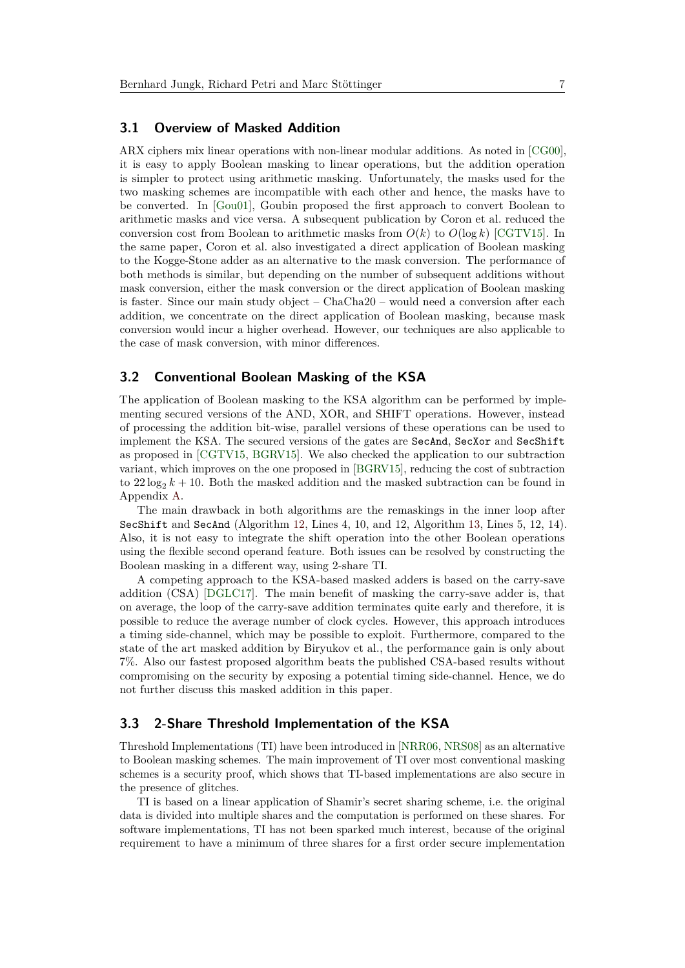#### **3.1 Overview of Masked Addition**

ARX ciphers mix linear operations with non-linear modular additions. As noted in [\[CG00\]](#page-24-10), it is easy to apply Boolean masking to linear operations, but the addition operation is simpler to protect using arithmetic masking. Unfortunately, the masks used for the two masking schemes are incompatible with each other and hence, the masks have to be converted. In [\[Gou01\]](#page-25-3), Goubin proposed the first approach to convert Boolean to arithmetic masks and vice versa. A subsequent publication by Coron et al. reduced the conversion cost from Boolean to arithmetic masks from  $O(k)$  to  $O(\log k)$  [\[CGTV15\]](#page-24-4). In the same paper, Coron et al. also investigated a direct application of Boolean masking to the Kogge-Stone adder as an alternative to the mask conversion. The performance of both methods is similar, but depending on the number of subsequent additions without mask conversion, either the mask conversion or the direct application of Boolean masking is faster. Since our main study object – ChaCha20 – would need a conversion after each addition, we concentrate on the direct application of Boolean masking, because mask conversion would incur a higher overhead. However, our techniques are also applicable to the case of mask conversion, with minor differences.

#### <span id="page-6-0"></span>**3.2 Conventional Boolean Masking of the KSA**

The application of Boolean masking to the KSA algorithm can be performed by implementing secured versions of the AND, XOR, and SHIFT operations. However, instead of processing the addition bit-wise, parallel versions of these operations can be used to implement the KSA. The secured versions of the gates are SecAnd, SecXor and SecShift as proposed in [\[CGTV15,](#page-24-4) [BGRV15\]](#page-24-3). We also checked the application to our subtraction variant, which improves on the one proposed in [\[BGRV15\]](#page-24-3), reducing the cost of subtraction to  $22 \log_2 k + 10$ . Both the masked addition and the masked subtraction can be found in Appendix [A.](#page-17-0)

The main drawback in both algorithms are the remaskings in the inner loop after SecShift and SecAnd (Algorithm [12,](#page-17-1) Lines 4, 10, and 12, Algorithm [13,](#page-18-0) Lines 5, 12, 14). Also, it is not easy to integrate the shift operation into the other Boolean operations using the flexible second operand feature. Both issues can be resolved by constructing the Boolean masking in a different way, using 2-share TI.

A competing approach to the KSA-based masked adders is based on the carry-save addition (CSA) [\[DGLC17\]](#page-25-1). The main benefit of masking the carry-save adder is, that on average, the loop of the carry-save addition terminates quite early and therefore, it is possible to reduce the average number of clock cycles. However, this approach introduces a timing side-channel, which may be possible to exploit. Furthermore, compared to the state of the art masked addition by Biryukov et al., the performance gain is only about 7%. Also our fastest proposed algorithm beats the published CSA-based results without compromising on the security by exposing a potential timing side-channel. Hence, we do not further discuss this masked addition in this paper.

#### <span id="page-6-1"></span>**3.3 2-Share Threshold Implementation of the KSA**

Threshold Implementations (TI) have been introduced in [\[NRR06,](#page-25-5) [NRS08\]](#page-25-6) as an alternative to Boolean masking schemes. The main improvement of TI over most conventional masking schemes is a security proof, which shows that TI-based implementations are also secure in the presence of glitches.

TI is based on a linear application of Shamir's secret sharing scheme, i.e. the original data is divided into multiple shares and the computation is performed on these shares. For software implementations, TI has not been sparked much interest, because of the original requirement to have a minimum of three shares for a first order secure implementation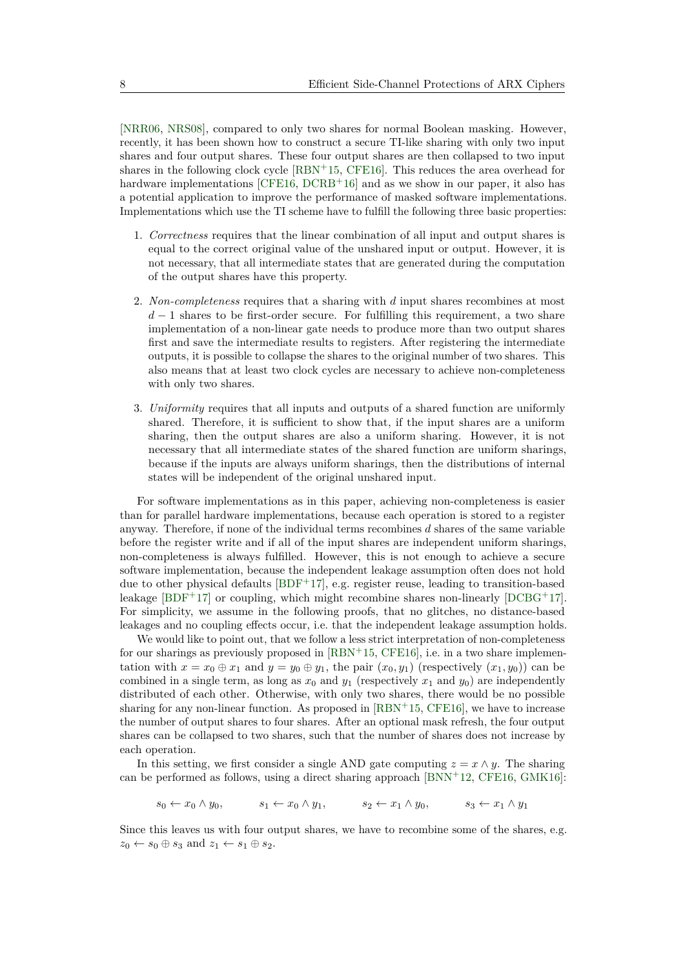[\[NRR06,](#page-25-5) [NRS08\]](#page-25-6), compared to only two shares for normal Boolean masking. However, recently, it has been shown how to construct a secure TI-like sharing with only two input shares and four output shares. These four output shares are then collapsed to two input shares in the following clock cycle [\[RBN](#page-26-6)<sup>+</sup>15, [CFE16\]](#page-24-6). This reduces the area overhead for hardware implementations  $[CFE16, DCRB<sup>+</sup>16]$  $[CFE16, DCRB<sup>+</sup>16]$  $[CFE16, DCRB<sup>+</sup>16]$  $[CFE16, DCRB<sup>+</sup>16]$  and as we show in our paper, it also has a potential application to improve the performance of masked software implementations. Implementations which use the TI scheme have to fulfill the following three basic properties:

- 1. *Correctness* requires that the linear combination of all input and output shares is equal to the correct original value of the unshared input or output. However, it is not necessary, that all intermediate states that are generated during the computation of the output shares have this property.
- 2. *Non-completeness* requires that a sharing with *d* input shares recombines at most *d* − 1 shares to be first-order secure. For fulfilling this requirement, a two share implementation of a non-linear gate needs to produce more than two output shares first and save the intermediate results to registers. After registering the intermediate outputs, it is possible to collapse the shares to the original number of two shares. This also means that at least two clock cycles are necessary to achieve non-completeness with only two shares.
- 3. *Uniformity* requires that all inputs and outputs of a shared function are uniformly shared. Therefore, it is sufficient to show that, if the input shares are a uniform sharing, then the output shares are also a uniform sharing. However, it is not necessary that all intermediate states of the shared function are uniform sharings, because if the inputs are always uniform sharings, then the distributions of internal states will be independent of the original unshared input.

For software implementations as in this paper, achieving non-completeness is easier than for parallel hardware implementations, because each operation is stored to a register anyway. Therefore, if none of the individual terms recombines *d* shares of the same variable before the register write and if all of the input shares are independent uniform sharings, non-completeness is always fulfilled. However, this is not enough to achieve a secure software implementation, because the independent leakage assumption often does not hold due to other physical defaults  $[BDF^+17]$  $[BDF^+17]$ , e.g. register reuse, leading to transition-based leakage  $[BDF^+17]$  $[BDF^+17]$  or coupling, which might recombine shares non-linearly  $[DCBG^+17]$  $[DCBG^+17]$ . For simplicity, we assume in the following proofs, that no glitches, no distance-based leakages and no coupling effects occur, i.e. that the independent leakage assumption holds.

We would like to point out, that we follow a less strict interpretation of non-completeness for our sharings as previously proposed in  $[RBN+15, CFE16]$  $[RBN+15, CFE16]$  $[RBN+15, CFE16]$ , i.e. in a two share implementation with  $x = x_0 \oplus x_1$  and  $y = y_0 \oplus y_1$ , the pair  $(x_0, y_1)$  (respectively  $(x_1, y_0)$ ) can be combined in a single term, as long as  $x_0$  and  $y_1$  (respectively  $x_1$  and  $y_0$ ) are independently distributed of each other. Otherwise, with only two shares, there would be no possible sharing for any non-linear function. As proposed in  $[RBN<sup>+</sup>15, CFE16]$  $[RBN<sup>+</sup>15, CFE16]$  $[RBN<sup>+</sup>15, CFE16]$ , we have to increase the number of output shares to four shares. After an optional mask refresh, the four output shares can be collapsed to two shares, such that the number of shares does not increase by each operation.

In this setting, we first consider a single AND gate computing  $z = x \wedge y$ . The sharing can be performed as follows, using a direct sharing approach  $[BNN+12, CFE16, GMK16]$  $[BNN+12, CFE16, GMK16]$  $[BNN+12, CFE16, GMK16]$  $[BNN+12, CFE16, GMK16]$  $[BNN+12, CFE16, GMK16]$ :

$$
s_0 \leftarrow x_0 \land y_0, \qquad s_1 \leftarrow x_0 \land y_1, \qquad s_2 \leftarrow x_1 \land y_0, \qquad s_3 \leftarrow x_1 \land y_1
$$

Since this leaves us with four output shares, we have to recombine some of the shares, e.g.  $z_0 \leftarrow s_0 \oplus s_3$  and  $z_1 \leftarrow s_1 \oplus s_2$ .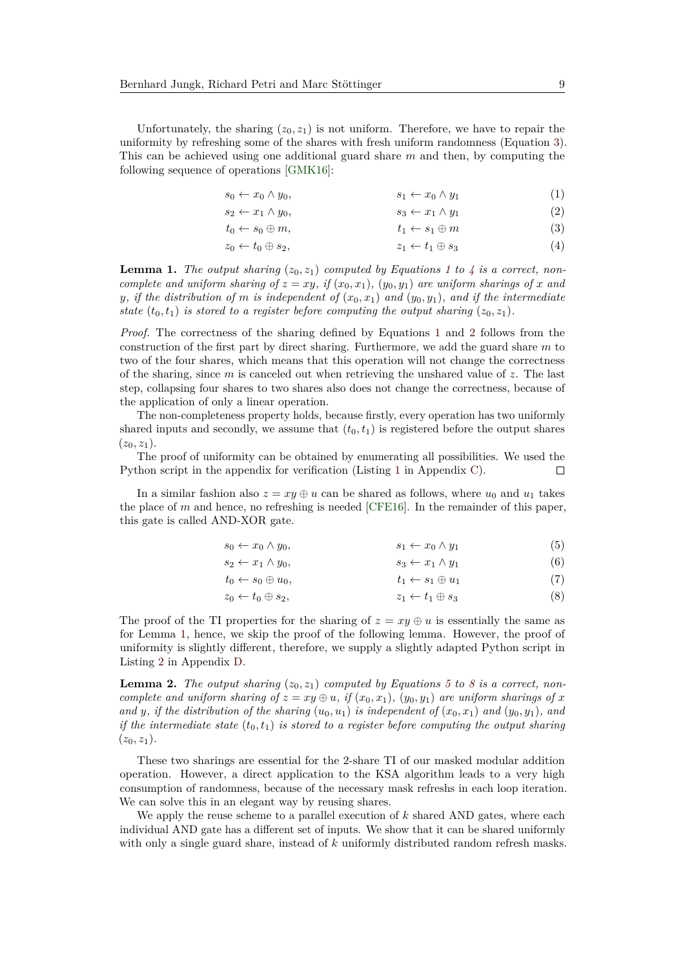Unfortunately, the sharing  $(z_0, z_1)$  is not uniform. Therefore, we have to repair the uniformity by refreshing some of the shares with fresh uniform randomness (Equation [3\)](#page-8-0). This can be achieved using one additional guard share *m* and then, by computing the following sequence of operations [\[GMK16\]](#page-25-12):

$$
s_0 \leftarrow x_0 \land y_0,\tag{1}
$$

<span id="page-8-1"></span>
$$
s_2 \leftarrow x_1 \land y_0, \qquad s_3 \leftarrow x_1 \land y_1 \qquad (2)
$$

<span id="page-8-3"></span><span id="page-8-2"></span><span id="page-8-0"></span>
$$
t_0 \leftarrow s_0 \oplus m, \qquad t_1 \leftarrow s_1 \oplus m \qquad (3)
$$

$$
z_0 \leftarrow t_0 \oplus s_2, \qquad \qquad z_1 \leftarrow t_1 \oplus s_3 \qquad \qquad (4)
$$

<span id="page-8-4"></span>**Lemma [1](#page-8-1).** The output sharing  $(z_0, z_1)$  computed by Equations 1 to [4](#page-8-2) is a correct, non*complete and uniform sharing of*  $z = xy$ *, if*  $(x_0, x_1)$ *,*  $(y_0, y_1)$  *are uniform sharings of x and y,* if the distribution of *m* is independent of  $(x_0, x_1)$  and  $(y_0, y_1)$ *, and if the intermediate state*  $(t_0, t_1)$  *is stored to a register before computing the output sharing*  $(z_0, z_1)$ *.* 

*Proof.* The correctness of the sharing defined by Equations [1](#page-8-1) and [2](#page-8-3) follows from the construction of the first part by direct sharing. Furthermore, we add the guard share *m* to two of the four shares, which means that this operation will not change the correctness of the sharing, since *m* is canceled out when retrieving the unshared value of *z*. The last step, collapsing four shares to two shares also does not change the correctness, because of the application of only a linear operation.

The non-completeness property holds, because firstly, every operation has two uniformly shared inputs and secondly, we assume that  $(t_0, t_1)$  is registered before the output shares  $(z_0, z_1)$ .

The proof of uniformity can be obtained by enumerating all possibilities. We used the Python script in the appendix for verification (Listing [1](#page-20-0) in Appendix [C\)](#page-20-1).  $\Box$ 

In a similar fashion also  $z = xy \oplus u$  can be shared as follows, where  $u_0$  and  $u_1$  takes the place of *m* and hence, no refreshing is needed [\[CFE16\]](#page-24-6). In the remainder of this paper, this gate is called AND-XOR gate.

<span id="page-8-5"></span>
$$
s_0 \leftarrow x_0 \land y_0, \qquad \qquad s_1 \leftarrow x_0 \land y_1 \tag{5}
$$

$$
s_2 \leftarrow x_1 \land y_0, \qquad \qquad s_3 \leftarrow x_1 \land y_1 \qquad \qquad (6)
$$

<span id="page-8-6"></span>
$$
t_0 \leftarrow s_0 \oplus u_0, \qquad \qquad t_1 \leftarrow s_1 \oplus u_1 \qquad \qquad (7)
$$

 $z_0 \leftarrow t_0 \oplus s_2,$   $z_1 \leftarrow t_1 \oplus s_3$  (8)

The proof of the TI properties for the sharing of  $z = xy \oplus u$  is essentially the same as for Lemma [1,](#page-8-4) hence, we skip the proof of the following lemma. However, the proof of uniformity is slightly different, therefore, we supply a slightly adapted Python script in Listing [2](#page-21-0) in Appendix [D.](#page-21-1)

<span id="page-8-7"></span>**Lemma 2.** *The output sharing*  $(z_0, z_1)$  *computed by Equations* [5](#page-8-5) *to* [8](#page-8-6) *is a correct, noncomplete and uniform sharing of*  $z = xy \oplus u$ *, if*  $(x_0, x_1)$ *,*  $(y_0, y_1)$  *are uniform sharings of* x and *y*, if the distribution of the sharing  $(u_0, u_1)$  is independent of  $(x_0, x_1)$  and  $(y_0, y_1)$ , and *if the intermediate state*  $(t_0, t_1)$  *is stored to a register before computing the output sharing*  $(z_0, z_1)$ .

These two sharings are essential for the 2-share TI of our masked modular addition operation. However, a direct application to the KSA algorithm leads to a very high consumption of randomness, because of the necessary mask refreshs in each loop iteration. We can solve this in an elegant way by reusing shares.

We apply the reuse scheme to a parallel execution of *k* shared AND gates, where each individual AND gate has a different set of inputs. We show that it can be shared uniformly with only a single guard share, instead of *k* uniformly distributed random refresh masks.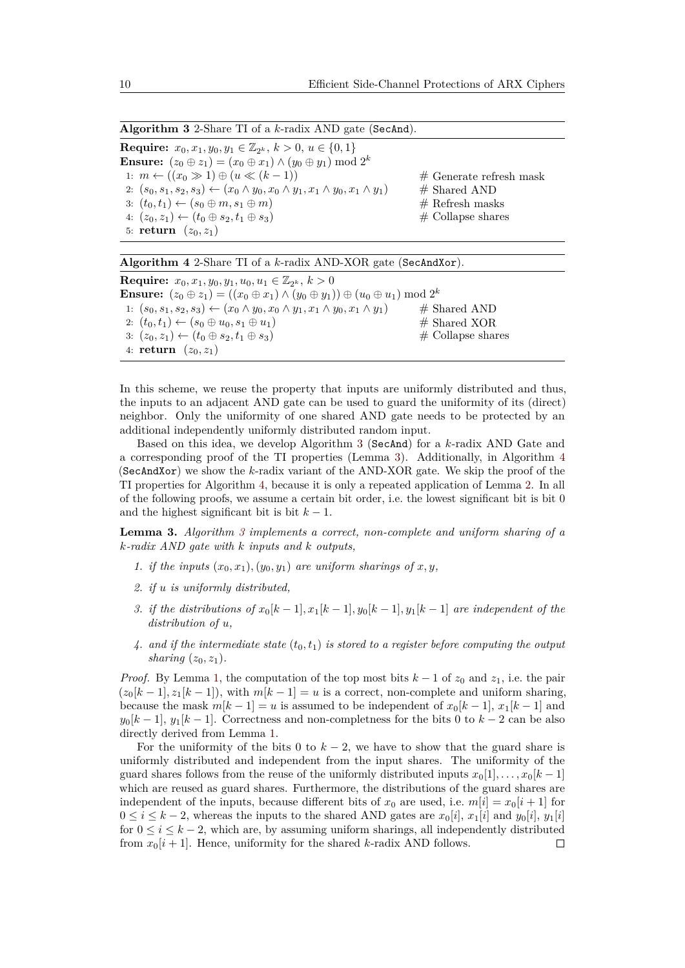<span id="page-9-0"></span>**Algorithm 3** 2-Share TI of a *k*-radix AND gate (SecAnd).

**Require:**  $x_0, x_1, y_0, y_1 \in \mathbb{Z}_{2^k}, k > 0, u \in \{0, 1\}$ **Ensure:**  $(z_0 \oplus z_1) = (x_0 \oplus x_1) \wedge (y_0 \oplus y_1) \text{ mod } 2^k$ 1:  $m \leftarrow ((x_0 \gg 1) \oplus (u \ll (k-1))$  # Generate refresh mask 2:  $(s_0, s_1, s_2, s_3) \leftarrow (x_0 \wedge y_0, x_0 \wedge y_1, x_1 \wedge y_0, x_1 \wedge y_1) \qquad \# \text{ Shared AND}$ 3:  $(t_0, t_1) \leftarrow (s_0 \oplus m, s_1 \oplus m)$  # Refresh masks 4:  $(z_0, z_1) \leftarrow (t_0 \oplus s_2, t_1 \oplus s_3)$  # Collapse shares 5: **return**  $(z_0, z_1)$ 

<span id="page-9-1"></span>

| Algorithm 4 2-Share TI of a $k$ -radix AND-XOR gate (SecAndXor). |  |  |  |  |  |  |  |
|------------------------------------------------------------------|--|--|--|--|--|--|--|
|------------------------------------------------------------------|--|--|--|--|--|--|--|

**Require:**  $x_0, x_1, y_0, y_1, u_0, u_1 \in \mathbb{Z}_{2^k}, k > 0$ **Ensure:**  $(z_0 \oplus z_1) = ((x_0 \oplus x_1) \wedge (y_0 \oplus y_1)) \oplus (u_0 \oplus u_1) \text{ mod } 2^k$ 1:  $(s_0, s_1, s_2, s_3)$  ←  $(x_0 ∧ y_0, x_0 ∧ y_1, x_1 ∧ y_0, x_1 ∧ y_1)$  # Shared AND 2:  $(t_0, t_1) \leftarrow (s_0 \oplus u_0, s_1 \oplus u_1)$  # Shared XOR 3:  $(z_0, z_1) \leftarrow (t_0 \oplus s_2, t_1 \oplus s_3)$  # Collapse shares 4: **return**  $(z_0, z_1)$ 

In this scheme, we reuse the property that inputs are uniformly distributed and thus, the inputs to an adjacent AND gate can be used to guard the uniformity of its (direct) neighbor. Only the uniformity of one shared AND gate needs to be protected by an additional independently uniformly distributed random input.

Based on this idea, we develop Algorithm [3](#page-9-0) (SecAnd) for a *k*-radix AND Gate and a corresponding proof of the TI properties (Lemma [3\)](#page-9-0). Additionally, in Algorithm [4](#page-9-1) (SecAndXor) we show the *k*-radix variant of the AND-XOR gate. We skip the proof of the TI properties for Algorithm [4,](#page-9-1) because it is only a repeated application of Lemma [2.](#page-8-7) In all of the following proofs, we assume a certain bit order, i.e. the lowest significant bit is bit 0 and the highest significant bit is bit  $k-1$ .

<span id="page-9-2"></span>**Lemma 3.** *Algorithm [3](#page-9-0) implements a correct, non-complete and uniform sharing of a k-radix AND gate with k inputs and k outputs,*

- *1. if the inputs*  $(x_0, x_1)$ *,* $(y_0, y_1)$  *are uniform sharings of x, y,*
- *2. if u is uniformly distributed,*
- *3. if the distributions of*  $x_0[k-1], x_1[k-1], y_0[k-1], y_1[k-1]$  *are independent of the distribution of u,*
- *4. and if the intermediate state* (*t*0*, t*1) *is stored to a register before computing the output sharing*  $(z_0, z_1)$ *.*

*Proof.* By Lemma [1,](#page-8-4) the computation of the top most bits  $k-1$  of  $z_0$  and  $z_1$ , i.e. the pair  $(z_0[k-1], z_1[k-1])$ , with  $m[k-1] = u$  is a correct, non-complete and uniform sharing, because the mask  $m[k-1] = u$  is assumed to be independent of  $x_0[k-1]$ ,  $x_1[k-1]$  and  $y_0[k-1], y_1[k-1]$ . Correctness and non-completness for the bits 0 to  $k-2$  can be also directly derived from Lemma [1.](#page-8-4)

For the uniformity of the bits 0 to  $k - 2$ , we have to show that the guard share is uniformly distributed and independent from the input shares. The uniformity of the guard shares follows from the reuse of the uniformly distributed inputs  $x_0[1], \ldots, x_0[k-1]$ which are reused as guard shares. Furthermore, the distributions of the guard shares are independent of the inputs, because different bits of  $x_0$  are used, i.e.  $m[i] = x_0[i+1]$  for  $0 \le i \le k-2$ , whereas the inputs to the shared AND gates are  $x_0[i], x_1[i]$  and  $y_0[i], y_1[i]$ for  $0 \leq i \leq k-2$ , which are, by assuming uniform sharings, all independently distributed from  $x_0[i+1]$ . Hence, uniformity for the shared *k*-radix AND follows.  $\Box$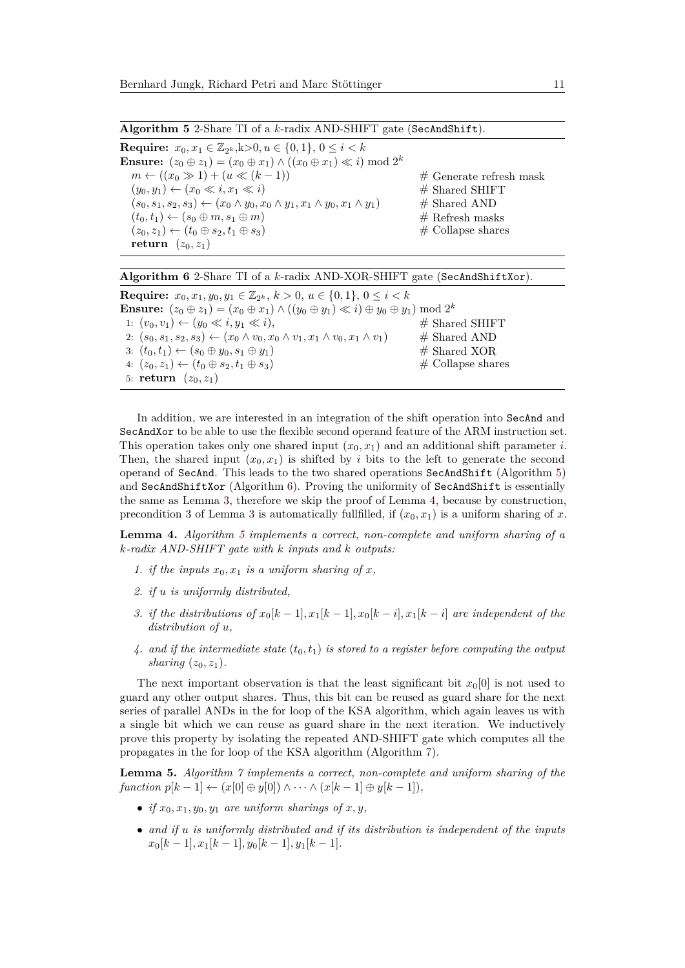<span id="page-10-0"></span>**Algorithm 5** 2-Share TI of a *k*-radix AND-SHIFT gate (SecAndShift).

**Require:**  $x_0, x_1 \in \mathbb{Z}_{2^k}, k > 0, u \in \{0, 1\}, 0 \leq i < k$ **Ensure:**  $(z_0 \oplus z_1) = (x_0 \oplus x_1) \wedge ((x_0 \oplus x_1) \ll i) \text{ mod } 2^k$  $m \leftarrow ((x_0 \gg 1) + (u \ll (k-1))$   $\qquad \qquad \#$  Generate refresh mask  $(y_0, y_1) \leftarrow (x_0 \ll i, x_1 \ll i)$  # Shared SHIFT  $(s_0, s_1, s_2, s_3) \leftarrow (x_0 \wedge y_0, x_0 \wedge y_1, x_1 \wedge y_0, x_1 \wedge y_1)$  # Shared AND  $(t_0, t_1) \leftarrow (s_0 \oplus m, s_1 \oplus m)$  # Refresh masks  $(z_0, z_1) \leftarrow (t_0 \oplus s_2, t_1 \oplus s_3)$  # Collapse shares **return**  $(z_0, z_1)$ 

<span id="page-10-1"></span>**Algorithm 6** 2-Share TI of a *k*-radix AND-XOR-SHIFT gate (SecAndShiftXor).

**Require:**  $x_0, x_1, y_0, y_1 \in \mathbb{Z}_{2^k}, k > 0, u \in \{0, 1\}, 0 \le i < k$ **Ensure:**  $(z_0 \oplus z_1) = (x_0 \oplus x_1) \wedge ((y_0 \oplus y_1) \ll i) \oplus y_0 \oplus y_1 \mod 2^k$ 1:  $(v_0, v_1) \leftarrow (y_0 \ll i, y_1 \ll i),$  # Shared SHIFT 2:  $(s_0, s_1, s_2, s_3) \leftarrow (x_0 \wedge v_0, x_0 \wedge v_1, x_1 \wedge v_0, x_1 \wedge v_1)$  # Shared AND 3:  $(t_0, t_1) \leftarrow (s_0 \oplus y_0, s_1 \oplus y_1)$  # Shared XOR 4:  $(z_0, z_1) \leftarrow (t_0 \oplus s_2, t_1 \oplus s_3)$  # Collapse shares 5: **return**  $(z_0, z_1)$ 

In addition, we are interested in an integration of the shift operation into SecAnd and SecAndXor to be able to use the flexible second operand feature of the ARM instruction set. This operation takes only one shared input  $(x_0, x_1)$  and an additional shift parameter *i*. Then, the shared input  $(x_0, x_1)$  is shifted by *i* bits to the left to generate the second operand of SecAnd. This leads to the two shared operations SecAndShift (Algorithm [5\)](#page-10-0) and SecAndShiftXor (Algorithm [6\)](#page-10-1). Proving the uniformity of SecAndShift is essentially the same as Lemma [3,](#page-9-2) therefore we skip the proof of Lemma [4,](#page-10-2) because by construction, precondition [3](#page-9-2) of Lemma 3 is automatically fullfilled, if  $(x_0, x_1)$  is a uniform sharing of x.

<span id="page-10-2"></span>**Lemma 4.** *Algorithm [5](#page-10-0) implements a correct, non-complete and uniform sharing of a k-radix AND-SHIFT gate with k inputs and k outputs:*

- 1. *if the inputs*  $x_0, x_1$  *is a uniform sharing of*  $x$ *,*
- *2. if u is uniformly distributed,*
- *3. if the distributions of*  $x_0[k-1], x_1[k-1], x_0[k-i], x_1[k-i]$  *are independent of the distribution of u,*
- 4. and if the intermediate state  $(t_0, t_1)$  is stored to a register before computing the output *sharing*  $(z_0, z_1)$ *.*

The next important observation is that the least significant bit  $x_0[0]$  is not used to guard any other output shares. Thus, this bit can be reused as guard share for the next series of parallel ANDs in the for loop of the KSA algorithm, which again leaves us with a single bit which we can reuse as guard share in the next iteration. We inductively prove this property by isolating the repeated AND-SHIFT gate which computes all the propagates in the for loop of the KSA algorithm (Algorithm [7\)](#page-11-0).

<span id="page-10-3"></span>**Lemma 5.** *Algorithm [7](#page-11-0) implements a correct, non-complete and uniform sharing of the function*  $p[k-1]$  ←  $(x[0] \oplus y[0]) \wedge \cdots \wedge (x[k-1] \oplus y[k-1]),$ 

- *if*  $x_0, x_1, y_0, y_1$  *are uniform sharings of*  $x, y$ *,*
- *and if u is uniformly distributed and if its distribution is independent of the inputs*  $x_0[k-1], x_1[k-1], y_0[k-1], y_1[k-1].$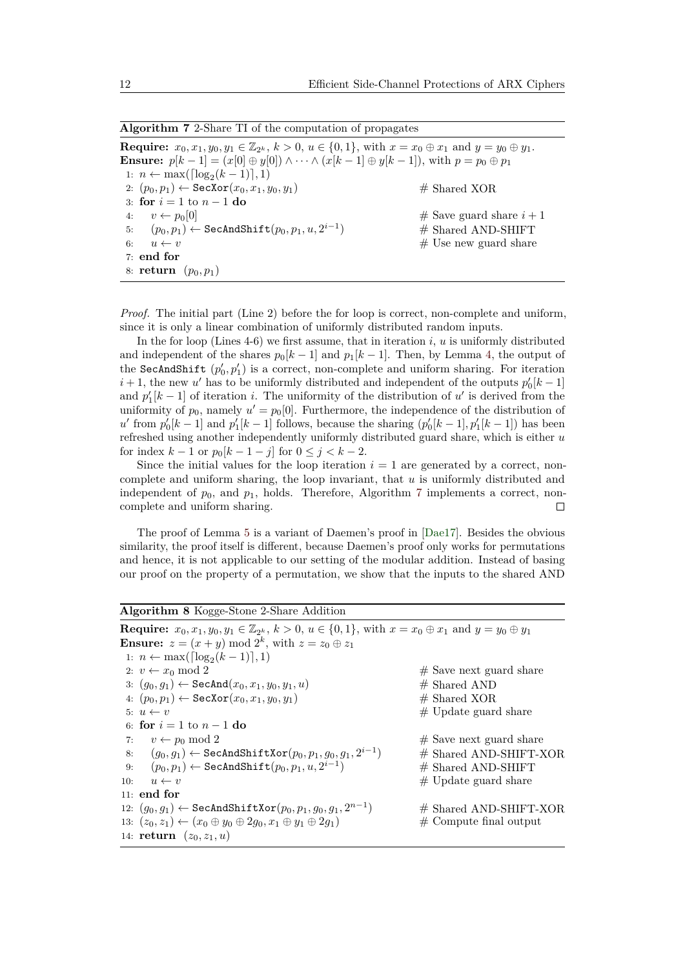<span id="page-11-0"></span>**Algorithm 7** 2-Share TI of the computation of propagates

**Require:**  $x_0, x_1, y_0, y_1 \in \mathbb{Z}_{2^k}, k > 0, u \in \{0, 1\}, \text{ with } x = x_0 \oplus x_1 \text{ and } y = y_0 \oplus y_1.$ **Ensure:**  $p[k-1] = (x[0] \oplus y[0]) \wedge \cdots \wedge (x[k-1] \oplus y[k-1]),$  with  $p = p_0 \oplus p_1$ 1:  $n \leftarrow \max(\lceil \log_2(k-1) \rceil, 1)$ 2:  $(p_0, p_1) \leftarrow \text{SecXor}(x_0, x_1, y_0, y_1)$  # Shared XOR 3: **for**  $i = 1$  to  $n - 1$  **do** 4:  $v \leftarrow p_0[0]$  # Save guard share  $i+1$  $( p_0, p_1 ) \leftarrow \texttt{SecAndShift}(p_0, p_1, u, 2^{i-1})$  $#$  Shared AND-SHIFT 6:  $u \leftarrow v$  # Use new guard share 7: **end for** 8: **return**  $(p_0, p_1)$ 

*Proof.* The initial part (Line 2) before the for loop is correct, non-complete and uniform, since it is only a linear combination of uniformly distributed random inputs.

In the for loop (Lines  $4-6$ ) we first assume, that in iteration *i*, *u* is uniformly distributed and independent of the shares  $p_0[k-1]$  and  $p_1[k-1]$ . Then, by Lemma [4,](#page-10-2) the output of the SecAndShift  $(p'_0, p'_1)$  is a correct, non-complete and uniform sharing. For iteration  $i + 1$ , the new *u*' has to be uniformly distributed and independent of the outputs  $p'_0[k-1]$ and  $p'_1[k-1]$  of iteration *i*. The uniformity of the distribution of  $u'$  is derived from the uniformity of  $p_0$ , namely  $u' = p_0[0]$ . Furthermore, the independence of the distribution of  $u'$  from  $p'_0[k-1]$  and  $p'_1[k-1]$  follows, because the sharing  $(p'_0[k-1], p'_1[k-1])$  has been refreshed using another independently uniformly distributed guard share, which is either *u* for index  $k - 1$  or  $p_0[k - 1 - j]$  for  $0 \le j < k - 2$ .

Since the initial values for the loop iteration  $i = 1$  are generated by a correct, noncomplete and uniform sharing, the loop invariant, that *u* is uniformly distributed and independent of  $p_0$ , and  $p_1$ , holds. Therefore, Algorithm [7](#page-11-0) implements a correct, noncomplete and uniform sharing.  $\Box$ 

The proof of Lemma [5](#page-10-3) is a variant of Daemen's proof in [\[Dae17\]](#page-24-7). Besides the obvious similarity, the proof itself is different, because Daemen's proof only works for permutations and hence, it is not applicable to our setting of the modular addition. Instead of basing our proof on the property of a permutation, we show that the inputs to the shared AND

<span id="page-11-1"></span>

|     | Algorithm 8 Kogge-Stone 2-Share Addition                                                                                                           |                           |
|-----|----------------------------------------------------------------------------------------------------------------------------------------------------|---------------------------|
|     | <b>Require:</b> $x_0, x_1, y_0, y_1 \in \mathbb{Z}_{2^k}, k > 0, u \in \{0, 1\}, \text{ with } x = x_0 \oplus x_1 \text{ and } y = y_0 \oplus y_1$ |                           |
|     | <b>Ensure:</b> $z = (x + y) \bmod 2^k$ , with $z = z_0 \oplus z_1$                                                                                 |                           |
|     | 1: $n \leftarrow \max(\lceil \log_2(k-1) \rceil, 1)$                                                                                               |                           |
|     | 2: $v \leftarrow x_0 \mod 2$                                                                                                                       | $#$ Save next guard share |
|     | 3: $(g_0, g_1) \leftarrow \texttt{SecAnd}(x_0, x_1, y_0, y_1, u)$                                                                                  | $#$ Shared AND            |
|     | 4: $(p_0, p_1)$ ← SecXor $(x_0, x_1, y_0, y_1)$                                                                                                    | $#$ Shared XOR            |
|     | 5: $u \leftarrow v$                                                                                                                                | $#$ Update guard share    |
|     | 6: for $i = 1$ to $n - 1$ do                                                                                                                       |                           |
|     | 7: $v \leftarrow p_0 \mod 2$                                                                                                                       | $#$ Save next guard share |
|     | 8: $(g_0, g_1) \leftarrow \texttt{SecAndShiftXor}(p_0, p_1, g_0, g_1, 2^{i-1})$                                                                    | $#$ Shared AND-SHIFT-XOR  |
| 9:  | $(p_0, p_1) \leftarrow \texttt{SecAndShift}(p_0, p_1, u, 2^{i-1})$                                                                                 | $#$ Shared AND-SHIFT      |
| 10: | $u \leftarrow v$                                                                                                                                   | $#$ Update guard share    |
|     | $11:$ end for                                                                                                                                      |                           |
|     | 12: $(g_0, g_1) \leftarrow$ SecAndShiftXor $(p_0, p_1, g_0, g_1, 2^{n-1})$                                                                         | $#$ Shared AND-SHIFT-XOR  |
|     | 13: $(z_0, z_1) \leftarrow (x_0 \oplus y_0 \oplus 2g_0, x_1 \oplus y_1 \oplus 2g_1)$                                                               | $#$ Compute final output  |
|     | 14: <b>return</b> $(z_0, z_1, u)$                                                                                                                  |                           |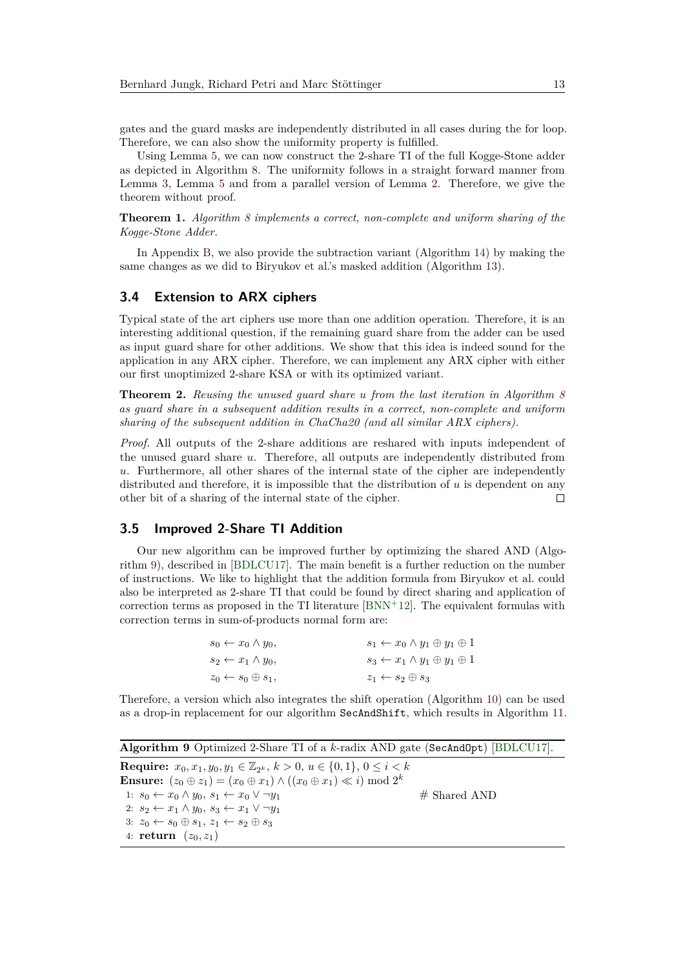gates and the guard masks are independently distributed in all cases during the for loop. Therefore, we can also show the uniformity property is fulfilled.

Using Lemma [5,](#page-10-3) we can now construct the 2-share TI of the full Kogge-Stone adder as depicted in Algorithm [8.](#page-11-1) The uniformity follows in a straight forward manner from Lemma [3,](#page-9-2) Lemma [5](#page-10-3) and from a parallel version of Lemma [2.](#page-8-7) Therefore, we give the theorem without proof.

**Theorem 1.** *Algorithm [8](#page-11-1) implements a correct, non-complete and uniform sharing of the Kogge-Stone Adder.*

In Appendix [B,](#page-19-0) we also provide the subtraction variant (Algorithm [14\)](#page-19-1) by making the same changes as we did to Biryukov et al.'s masked addition (Algorithm [13\)](#page-18-0).

#### **3.4 Extension to ARX ciphers**

Typical state of the art ciphers use more than one addition operation. Therefore, it is an interesting additional question, if the remaining guard share from the adder can be used as input guard share for other additions. We show that this idea is indeed sound for the application in any ARX cipher. Therefore, we can implement any ARX cipher with either our first unoptimized 2-share KSA or with its optimized variant.

**Theorem 2.** *Reusing the unused guard share u from the last iteration in Algorithm [8](#page-11-1) as guard share in a subsequent addition results in a correct, non-complete and uniform sharing of the subsequent addition in ChaCha20 (and all similar ARX ciphers).*

*Proof.* All outputs of the 2-share additions are reshared with inputs independent of the unused guard share *u*. Therefore, all outputs are independently distributed from *u*. Furthermore, all other shares of the internal state of the cipher are independently distributed and therefore, it is impossible that the distribution of *u* is dependent on any other bit of a sharing of the internal state of the cipher.  $\Box$ 

#### **3.5 Improved 2-Share TI Addition**

Our new algorithm can be improved further by optimizing the shared AND (Algorithm [9\)](#page-12-0), described in [\[BDLCU17\]](#page-24-2). The main benefit is a further reduction on the number of instructions. We like to highlight that the addition formula from Biryukov et al. could also be interpreted as 2-share TI that could be found by direct sharing and application of correction terms as proposed in the TI literature  $[BNN+12]$  $[BNN+12]$ . The equivalent formulas with correction terms in sum-of-products normal form are:

| $s_0 \leftarrow x_0 \wedge y_0,$ | $s_1 \leftarrow x_0 \wedge y_1 \oplus y_1 \oplus 1$ |
|----------------------------------|-----------------------------------------------------|
| $s_2 \leftarrow x_1 \wedge y_0,$ | $s_3 \leftarrow x_1 \wedge y_1 \oplus y_1 \oplus 1$ |
| $z_0 \leftarrow s_0 \oplus s_1$  | $z_1 \leftarrow s_2 \oplus s_3$                     |

Therefore, a version which also integrates the shift operation (Algorithm [10\)](#page-13-0) can be used as a drop-in replacement for our algorithm SecAndShift, which results in Algorithm [11.](#page-13-1)

<span id="page-12-0"></span>

| Algorithm 9 Optimized 2-Share TI of a k-radix AND gate (SecAndOpt) [BDLCU17]. |  |  |  |  |  |  |  |  |
|-------------------------------------------------------------------------------|--|--|--|--|--|--|--|--|
|-------------------------------------------------------------------------------|--|--|--|--|--|--|--|--|

**Require:**  $x_0, x_1, y_0, y_1 \in \mathbb{Z}_{2^k}, k > 0, u \in \{0, 1\}, 0 \le i < k$ **Ensure:**  $(z_0 \oplus z_1) = (x_0 \oplus x_1) \wedge ((x_0 \oplus x_1) \ll i) \text{ mod } 2^k$ 1:  $s_0 \leftarrow x_0 \land y_0, s_1 \leftarrow x_0 \lor \neg y_1$  # Shared AND 2:  $s_2 \leftarrow x_1 \land y_0, s_3 \leftarrow x_1 \lor \neg y_1$ 3:  $z_0 \leftarrow s_0 \oplus s_1, z_1 \leftarrow s_2 \oplus s_3$ 4: **return**  $(z_0, z_1)$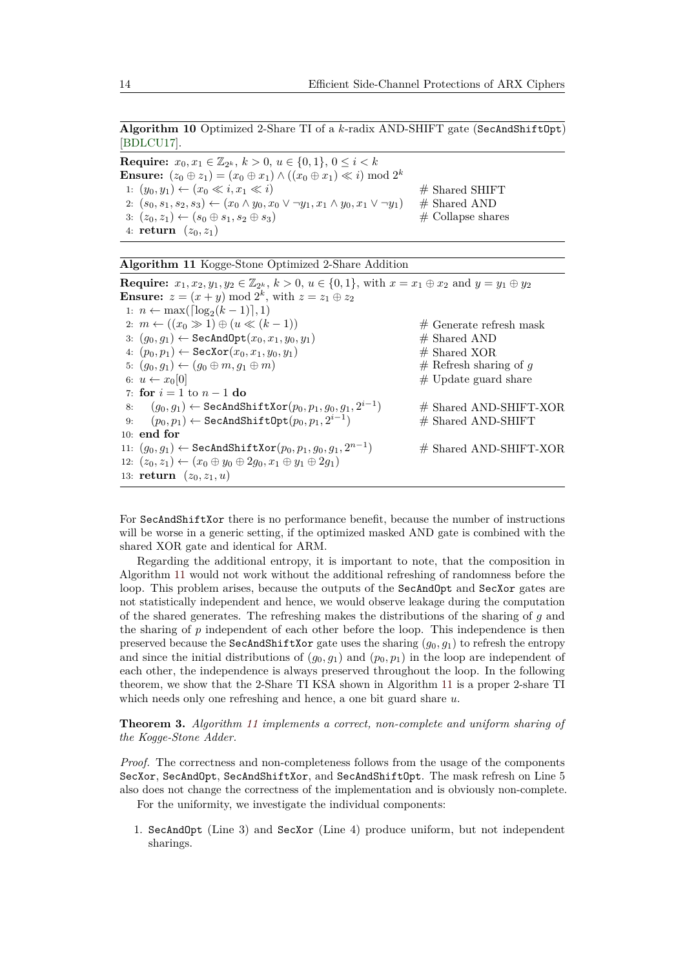<span id="page-13-0"></span>**Algorithm 10** Optimized 2-Share TI of a *k*-radix AND-SHIFT gate (SecAndShiftOpt) [\[BDLCU17\]](#page-24-2).

**Require:**  $x_0, x_1 \in \mathbb{Z}_{2^k}, k > 0, u \in \{0, 1\}, 0 \le i < k$ **Ensure:**  $(z_0 \oplus z_1) = (x_0 \oplus x_1) \wedge ((x_0 \oplus x_1) \ll i) \text{ mod } 2^k$ 1:  $(y_0, y_1) \leftarrow (x_0 \ll i, x_1 \ll i)$  # Shared SHIFT 2:  $(s_0, s_1, s_2, s_3)$  ←  $(x_0 ∧ y_0, x_0 ∨ \neg y_1, x_1 ∧ y_0, x_1 ∨ \neg y_1)$  # Shared AND 3:  $(z_0, z_1) \leftarrow (s_0 \oplus s_1, s_2 \oplus s_3)$  # Collapse shares 4: **return**  $(z_0, z_1)$ 

<span id="page-13-1"></span>

| Algorithm 11 Kogge-Stone Optimized 2-Share Addition                          |                                                                                                                                                                                                                                                                                                                                                                                                                                                                                                                                                                                                                                                                                                                                                                                                                                                                                   |  |  |  |  |  |
|------------------------------------------------------------------------------|-----------------------------------------------------------------------------------------------------------------------------------------------------------------------------------------------------------------------------------------------------------------------------------------------------------------------------------------------------------------------------------------------------------------------------------------------------------------------------------------------------------------------------------------------------------------------------------------------------------------------------------------------------------------------------------------------------------------------------------------------------------------------------------------------------------------------------------------------------------------------------------|--|--|--|--|--|
|                                                                              |                                                                                                                                                                                                                                                                                                                                                                                                                                                                                                                                                                                                                                                                                                                                                                                                                                                                                   |  |  |  |  |  |
|                                                                              |                                                                                                                                                                                                                                                                                                                                                                                                                                                                                                                                                                                                                                                                                                                                                                                                                                                                                   |  |  |  |  |  |
|                                                                              |                                                                                                                                                                                                                                                                                                                                                                                                                                                                                                                                                                                                                                                                                                                                                                                                                                                                                   |  |  |  |  |  |
|                                                                              | $#$ Generate refresh mask                                                                                                                                                                                                                                                                                                                                                                                                                                                                                                                                                                                                                                                                                                                                                                                                                                                         |  |  |  |  |  |
|                                                                              | $#$ Shared AND                                                                                                                                                                                                                                                                                                                                                                                                                                                                                                                                                                                                                                                                                                                                                                                                                                                                    |  |  |  |  |  |
|                                                                              | $#$ Shared XOR                                                                                                                                                                                                                                                                                                                                                                                                                                                                                                                                                                                                                                                                                                                                                                                                                                                                    |  |  |  |  |  |
|                                                                              | $#$ Refresh sharing of g                                                                                                                                                                                                                                                                                                                                                                                                                                                                                                                                                                                                                                                                                                                                                                                                                                                          |  |  |  |  |  |
|                                                                              | $#$ Update guard share                                                                                                                                                                                                                                                                                                                                                                                                                                                                                                                                                                                                                                                                                                                                                                                                                                                            |  |  |  |  |  |
|                                                                              |                                                                                                                                                                                                                                                                                                                                                                                                                                                                                                                                                                                                                                                                                                                                                                                                                                                                                   |  |  |  |  |  |
| $(g_0, g_1) \leftarrow \texttt{SecAndShiftXor}(p_0, p_1, g_0, g_1, 2^{i-1})$ | $#$ Shared AND-SHIFT-XOR                                                                                                                                                                                                                                                                                                                                                                                                                                                                                                                                                                                                                                                                                                                                                                                                                                                          |  |  |  |  |  |
|                                                                              | $#$ Shared AND-SHIFT                                                                                                                                                                                                                                                                                                                                                                                                                                                                                                                                                                                                                                                                                                                                                                                                                                                              |  |  |  |  |  |
|                                                                              |                                                                                                                                                                                                                                                                                                                                                                                                                                                                                                                                                                                                                                                                                                                                                                                                                                                                                   |  |  |  |  |  |
|                                                                              | $#$ Shared AND-SHIFT-XOR                                                                                                                                                                                                                                                                                                                                                                                                                                                                                                                                                                                                                                                                                                                                                                                                                                                          |  |  |  |  |  |
|                                                                              |                                                                                                                                                                                                                                                                                                                                                                                                                                                                                                                                                                                                                                                                                                                                                                                                                                                                                   |  |  |  |  |  |
|                                                                              |                                                                                                                                                                                                                                                                                                                                                                                                                                                                                                                                                                                                                                                                                                                                                                                                                                                                                   |  |  |  |  |  |
|                                                                              | <b>Require:</b> $x_1, x_2, y_1, y_2 \in \mathbb{Z}_{2^k}$ , $k > 0$ , $u \in \{0, 1\}$ , with $x = x_1 \oplus x_2$ and $y = y_1 \oplus y_2$<br><b>Ensure:</b> $z = (x + y) \bmod 2^k$ , with $z = z_1 \oplus z_2$<br>1: $n \leftarrow \max(\lceil \log_2(k-1) \rceil, 1)$<br>2: $m \leftarrow ((x_0 \gg 1) \oplus (u \ll (k-1))$<br>3: $(g_0, g_1) \leftarrow \texttt{SecAndOpt}(x_0, x_1, y_0, y_1)$<br>4: $(p_0, p_1)$ ← SecXor $(x_0, x_1, y_0, y_1)$<br>5: $(g_0, g_1) \leftarrow (g_0 \oplus m, g_1 \oplus m)$<br>6: $u \leftarrow x_0[0]$<br>7: for $i = 1$ to $n - 1$ do<br>$(p_0, p_1) \leftarrow \texttt{SecAndShiftOpt}(p_0, p_1, 2^{i-1})$<br>$10:$ end for<br>11: $(g_0, g_1) \leftarrow$ SecAndShiftXor $(p_0, p_1, g_0, g_1, 2^{n-1})$<br>12: $(z_0, z_1) \leftarrow (x_0 \oplus y_0 \oplus 2g_0, x_1 \oplus y_1 \oplus 2g_1)$<br>13: <b>return</b> $(z_0, z_1, u)$ |  |  |  |  |  |

For SecAndShiftXor there is no performance benefit, because the number of instructions will be worse in a generic setting, if the optimized masked AND gate is combined with the shared XOR gate and identical for ARM.

Regarding the additional entropy, it is important to note, that the composition in Algorithm [11](#page-13-1) would not work without the additional refreshing of randomness before the loop. This problem arises, because the outputs of the SecAndOpt and SecXor gates are not statistically independent and hence, we would observe leakage during the computation of the shared generates. The refreshing makes the distributions of the sharing of *g* and the sharing of *p* independent of each other before the loop. This independence is then preserved because the SecAndShiftXor gate uses the sharing  $(g_0, g_1)$  to refresh the entropy and since the initial distributions of  $(q_0, q_1)$  and  $(p_0, p_1)$  in the loop are independent of each other, the independence is always preserved throughout the loop. In the following theorem, we show that the 2-Share TI KSA shown in Algorithm [11](#page-13-1) is a proper 2-share TI which needs only one refreshing and hence, a one bit guard share *u*.

**Theorem 3.** *Algorithm [11](#page-13-1) implements a correct, non-complete and uniform sharing of the Kogge-Stone Adder.*

*Proof.* The correctness and non-completeness follows from the usage of the components SecXor, SecAndOpt, SecAndShiftXor, and SecAndShiftOpt. The mask refresh on Line 5 also does not change the correctness of the implementation and is obviously non-complete.

For the uniformity, we investigate the individual components:

1. SecAndOpt (Line 3) and SecXor (Line 4) produce uniform, but not independent sharings.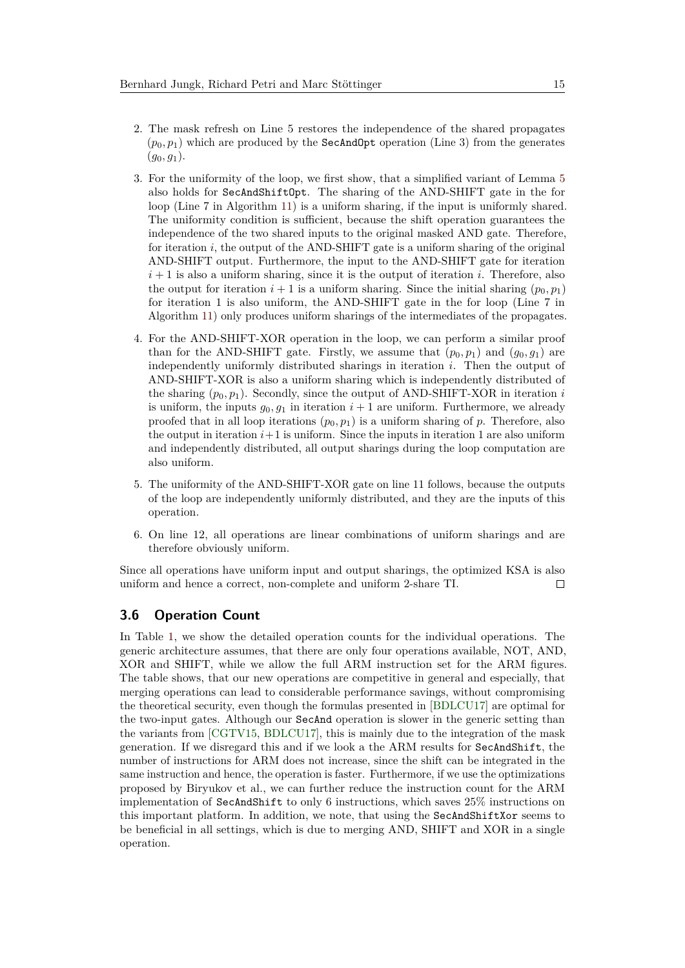- 2. The mask refresh on Line 5 restores the independence of the shared propagates  $(p_0, p_1)$  which are produced by the **SecAndOpt** operation (Line 3) from the generates  $(g_0, g_1).$
- 3. For the uniformity of the loop, we first show, that a simplified variant of Lemma [5](#page-10-3) also holds for SecAndShiftOpt. The sharing of the AND-SHIFT gate in the for loop (Line 7 in Algorithm [11\)](#page-13-1) is a uniform sharing, if the input is uniformly shared. The uniformity condition is sufficient, because the shift operation guarantees the independence of the two shared inputs to the original masked AND gate. Therefore, for iteration *i*, the output of the AND-SHIFT gate is a uniform sharing of the original AND-SHIFT output. Furthermore, the input to the AND-SHIFT gate for iteration  $i+1$  is also a uniform sharing, since it is the output of iteration *i*. Therefore, also the output for iteration  $i + 1$  is a uniform sharing. Since the initial sharing  $(p_0, p_1)$ for iteration 1 is also uniform, the AND-SHIFT gate in the for loop (Line 7 in Algorithm [11\)](#page-13-1) only produces uniform sharings of the intermediates of the propagates.
- 4. For the AND-SHIFT-XOR operation in the loop, we can perform a similar proof than for the AND-SHIFT gate. Firstly, we assume that  $(p_0, p_1)$  and  $(q_0, q_1)$  are independently uniformly distributed sharings in iteration *i*. Then the output of AND-SHIFT-XOR is also a uniform sharing which is independently distributed of the sharing  $(p_0, p_1)$ . Secondly, since the output of AND-SHIFT-XOR in iteration *i* is uniform, the inputs  $g_0, g_1$  in iteration  $i + 1$  are uniform. Furthermore, we already proofed that in all loop iterations  $(p_0, p_1)$  is a uniform sharing of p. Therefore, also the output in iteration  $i+1$  is uniform. Since the inputs in iteration 1 are also uniform and independently distributed, all output sharings during the loop computation are also uniform.
- 5. The uniformity of the AND-SHIFT-XOR gate on line 11 follows, because the outputs of the loop are independently uniformly distributed, and they are the inputs of this operation.
- 6. On line 12, all operations are linear combinations of uniform sharings and are therefore obviously uniform.

Since all operations have uniform input and output sharings, the optimized KSA is also uniform and hence a correct, non-complete and uniform 2-share TI.  $\Box$ 

#### <span id="page-14-0"></span>**3.6 Operation Count**

In Table [1,](#page-15-2) we show the detailed operation counts for the individual operations. The generic architecture assumes, that there are only four operations available, NOT, AND, XOR and SHIFT, while we allow the full ARM instruction set for the ARM figures. The table shows, that our new operations are competitive in general and especially, that merging operations can lead to considerable performance savings, without compromising the theoretical security, even though the formulas presented in [\[BDLCU17\]](#page-24-2) are optimal for the two-input gates. Although our SecAnd operation is slower in the generic setting than the variants from [\[CGTV15,](#page-24-4) [BDLCU17\]](#page-24-2), this is mainly due to the integration of the mask generation. If we disregard this and if we look a the ARM results for SecAndShift, the number of instructions for ARM does not increase, since the shift can be integrated in the same instruction and hence, the operation is faster. Furthermore, if we use the optimizations proposed by Biryukov et al., we can further reduce the instruction count for the ARM implementation of SecAndShift to only 6 instructions, which saves 25% instructions on this important platform. In addition, we note, that using the SecAndShiftXor seems to be beneficial in all settings, which is due to merging AND, SHIFT and XOR in a single operation.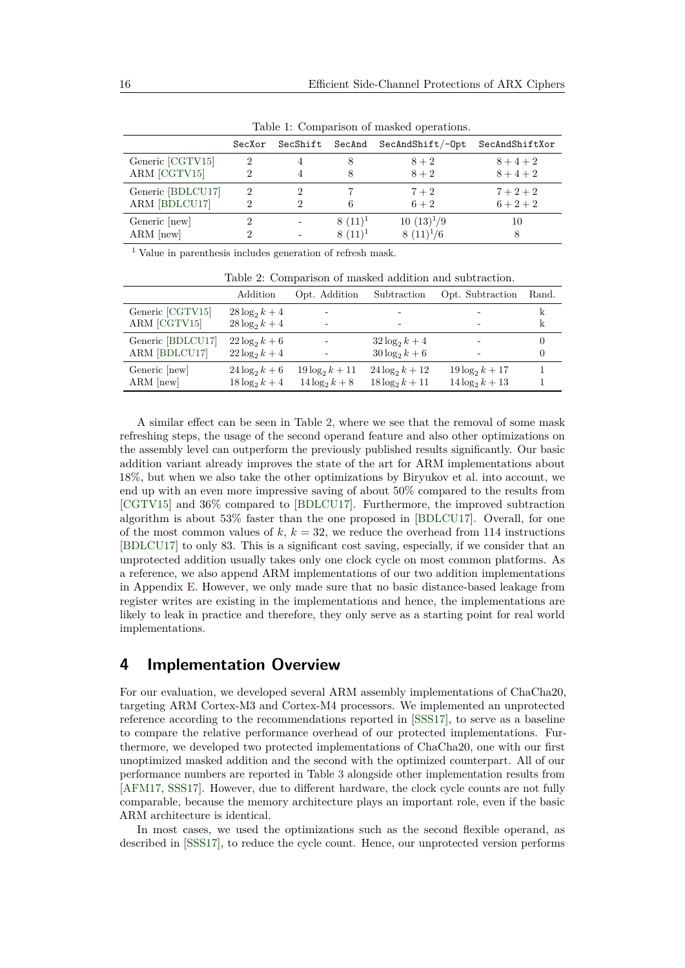<span id="page-15-2"></span>

|                                    | SecXor                                                     | SecShift                         | SecAnd                 | $SecAndShift/-Opt$              | SecAndShiftXor             |
|------------------------------------|------------------------------------------------------------|----------------------------------|------------------------|---------------------------------|----------------------------|
| Generic [CGTV15]<br>ARM [CGTV15]   | 2                                                          | 4<br>4                           |                        | $8 + 2$<br>$8 + 2$              | $8 + 4 + 2$<br>$8 + 4 + 2$ |
| Generic [BDLCU17]<br>ARM [BDLCU17] | $\mathcal{D}_{\mathcal{L}}$<br>$\mathcal{D}_{\mathcal{L}}$ | $\overline{2}$<br>$\overline{2}$ |                        | $7 + 2$<br>$6 + 2$              | $7 + 2 + 2$<br>$6 + 2 + 2$ |
| Generic [new]<br>ARM [new]         |                                                            |                                  | $8(11)^1$<br>$8(11)^1$ | $10(13)^{1/9}$<br>$8(11)^{1/6}$ | 10                         |

Table 1: Comparison of masked operations.

<sup>1</sup> Value in parenthesis includes generation of refresh mask.

<span id="page-15-1"></span>

|                   | Table 2: Comparison of masked addition and subtraction. |                   |                   |                    |          |  |
|-------------------|---------------------------------------------------------|-------------------|-------------------|--------------------|----------|--|
|                   | Addition                                                | Opt. Addition     | Subtraction       | Opt. Subtraction   | Rand.    |  |
| Generic [CGTV15]  | $28 \log_2 k + 4$                                       |                   |                   |                    | k        |  |
| ARM [CGTV15]      | $28 \log_2 k + 4$                                       |                   | -                 |                    | k        |  |
| Generic [BDLCU17] | $22 \log_2 k + 6$                                       |                   | $32 \log_2 k + 4$ |                    |          |  |
| ARM [BDLCU17]     | $22 \log_2 k + 4$                                       |                   | $30 \log_2 k + 6$ |                    | $\Omega$ |  |
| Generic [new]     | $24 \log_2 k + 6$                                       | $19\log_2 k + 11$ | $24\log_2 k + 12$ | $19 \log_2 k + 17$ |          |  |
| ARM [new]         | $18\log_2 k + 4$                                        | $14\log_2 k + 8$  | $18\log_2 k + 11$ | $14\log_2 k + 13$  |          |  |

Table 2: Comparison of masked addition and subtraction.

A similar effect can be seen in Table [2,](#page-15-1) where we see that the removal of some mask refreshing steps, the usage of the second operand feature and also other optimizations on the assembly level can outperform the previously published results significantly. Our basic addition variant already improves the state of the art for ARM implementations about 18%, but when we also take the other optimizations by Biryukov et al. into account, we end up with an even more impressive saving of about 50% compared to the results from [\[CGTV15\]](#page-24-4) and 36% compared to [\[BDLCU17\]](#page-24-2). Furthermore, the improved subtraction algorithm is about 53% faster than the one proposed in [\[BDLCU17\]](#page-24-2). Overall, for one of the most common values of  $k, k = 32$ , we reduce the overhead from 114 instructions [\[BDLCU17\]](#page-24-2) to only 83. This is a significant cost saving, especially, if we consider that an unprotected addition usually takes only one clock cycle on most common platforms. As a reference, we also append ARM implementations of our two addition implementations in Appendix [E.](#page-22-0) However, we only made sure that no basic distance-based leakage from register writes are existing in the implementations and hence, the implementations are likely to leak in practice and therefore, they only serve as a starting point for real world implementations.

### <span id="page-15-0"></span>**4 Implementation Overview**

For our evaluation, we developed several ARM assembly implementations of ChaCha20, targeting ARM Cortex-M3 and Cortex-M4 processors. We implemented an unprotected reference according to the recommendations reported in [\[SSS17\]](#page-26-9), to serve as a baseline to compare the relative performance overhead of our protected implementations. Furthermore, we developed two protected implementations of ChaCha20, one with our first unoptimized masked addition and the second with the optimized counterpart. All of our performance numbers are reported in Table [3](#page-16-1) alongside other implementation results from [\[AFM17,](#page-23-0) [SSS17\]](#page-26-9). However, due to different hardware, the clock cycle counts are not fully comparable, because the memory architecture plays an important role, even if the basic ARM architecture is identical.

In most cases, we used the optimizations such as the second flexible operand, as described in [\[SSS17\]](#page-26-9), to reduce the cycle count. Hence, our unprotected version performs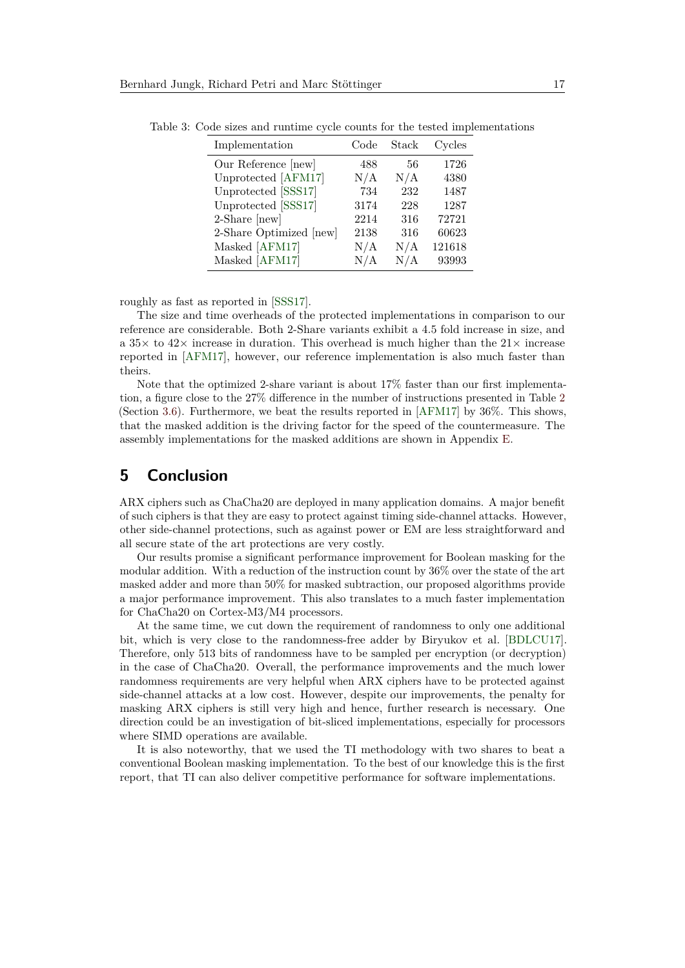| Implementation          | Code | Stack | Cycles |
|-------------------------|------|-------|--------|
| Our Reference [new]     | 488  | 56    | 1726   |
| Unprotected [AFM17]     | N/A  | N/A   | 4380   |
| Unprotected [SSS17]     | 734  | 232   | 1487   |
| Unprotected [SSS17]     | 3174 | 228   | 1287   |
| $2$ -Share $[new]$      | 2214 | 316   | 72721  |
| 2-Share Optimized [new] | 2138 | 316   | 60623  |
| Masked [AFM17]          | N/A  | N/A   | 121618 |
| Masked [AFM17]          | N/A  | N/A   | 93993  |

<span id="page-16-1"></span>Table 3: Code sizes and runtime cycle counts for the tested implementations

roughly as fast as reported in [\[SSS17\]](#page-26-9).

The size and time overheads of the protected implementations in comparison to our reference are considerable. Both 2-Share variants exhibit a 4*.*5 fold increase in size, and a  $35\times$  to  $42\times$  increase in duration. This overhead is much higher than the  $21\times$  increase reported in [\[AFM17\]](#page-23-0), however, our reference implementation is also much faster than theirs.

Note that the optimized 2-share variant is about 17% faster than our first implementation, a figure close to the 27% difference in the number of instructions presented in Table [2](#page-15-1) (Section [3.6\)](#page-14-0). Furthermore, we beat the results reported in [\[AFM17\]](#page-23-0) by 36%. This shows, that the masked addition is the driving factor for the speed of the countermeasure. The assembly implementations for the masked additions are shown in Appendix [E.](#page-22-0)

## <span id="page-16-0"></span>**5 Conclusion**

ARX ciphers such as ChaCha20 are deployed in many application domains. A major benefit of such ciphers is that they are easy to protect against timing side-channel attacks. However, other side-channel protections, such as against power or EM are less straightforward and all secure state of the art protections are very costly.

Our results promise a significant performance improvement for Boolean masking for the modular addition. With a reduction of the instruction count by 36% over the state of the art masked adder and more than 50% for masked subtraction, our proposed algorithms provide a major performance improvement. This also translates to a much faster implementation for ChaCha20 on Cortex-M3/M4 processors.

At the same time, we cut down the requirement of randomness to only one additional bit, which is very close to the randomness-free adder by Biryukov et al. [\[BDLCU17\]](#page-24-2). Therefore, only 513 bits of randomness have to be sampled per encryption (or decryption) in the case of ChaCha20. Overall, the performance improvements and the much lower randomness requirements are very helpful when ARX ciphers have to be protected against side-channel attacks at a low cost. However, despite our improvements, the penalty for masking ARX ciphers is still very high and hence, further research is necessary. One direction could be an investigation of bit-sliced implementations, especially for processors where SIMD operations are available.

It is also noteworthy, that we used the TI methodology with two shares to beat a conventional Boolean masking implementation. To the best of our knowledge this is the first report, that TI can also deliver competitive performance for software implementations.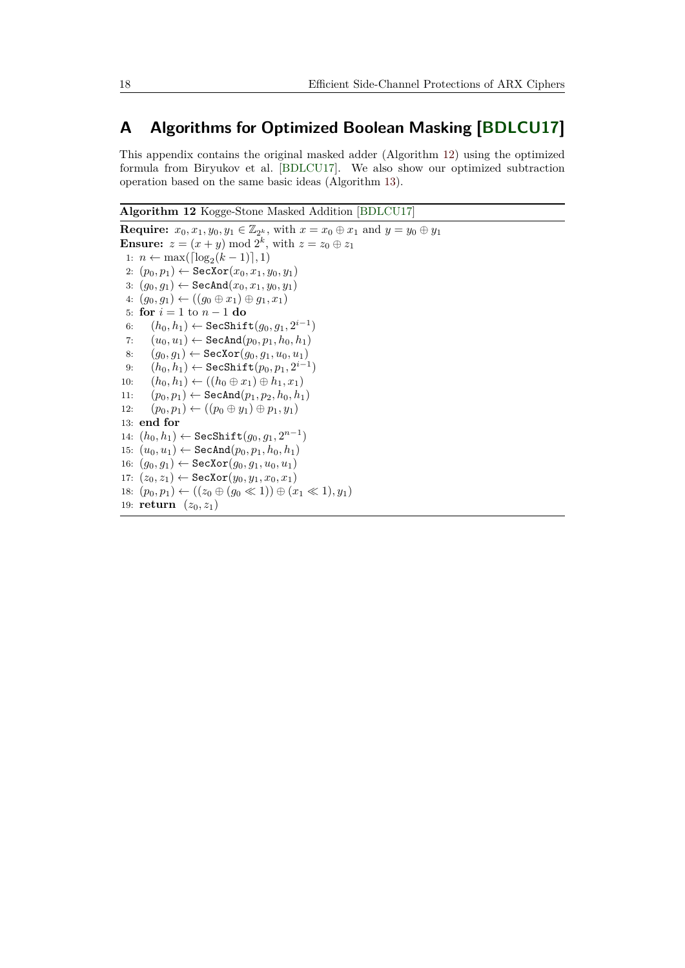# <span id="page-17-0"></span>**A Algorithms for Optimized Boolean Masking [\[BDLCU17\]](#page-24-2)**

This appendix contains the original masked adder (Algorithm [12\)](#page-17-1) using the optimized formula from Biryukov et al. [\[BDLCU17\]](#page-24-2). We also show our optimized subtraction operation based on the same basic ideas (Algorithm [13\)](#page-18-0).

<span id="page-17-1"></span>**Algorithm 12** Kogge-Stone Masked Addition [\[BDLCU17\]](#page-24-2)

**Require:**  $x_0, x_1, y_0, y_1 \in \mathbb{Z}_{2^k}$ , with  $x = x_0 \oplus x_1$  and  $y = y_0 \oplus y_1$ **Ensure:**  $z = (x + y) \text{ mod } 2^k$ , with  $z = z_0 \oplus z_1$ 1:  $n \leftarrow \max(\lceil \log_2(k-1) \rceil, 1)$ 2:  $(p_0, p_1)$  ← SecXor $(x_0, x_1, y_0, y_1)$ 3:  $(g_0, g_1)$  ← SecAnd $(x_0, x_1, y_0, y_1)$ 4: (*g*0*, g*1) ← ((*g*<sup>0</sup> ⊕ *x*1) ⊕ *g*1*, x*1) 5: **for**  $i = 1$  to  $n - 1$  **do** 6:  $(h_0, h_1)$  ← SecShift $(g_0, g_1, 2^{i-1})$ 7:  $(u_0, u_1)$  ← SecAnd $(p_0, p_1, h_0, h_1)$ 8:  $(g_0, g_1) \leftarrow \text{SecXor}(g_0, g_1, u_0, u_1)$ 9:  $(h_0, h_1)$  ← SecShift $(p_0, p_1, 2^{i-1})$ 10:  $(h_0, h_1) \leftarrow ((h_0 \oplus x_1) \oplus h_1, x_1)$ 11:  $(p_0, p_1)$  ← SecAnd $(p_1, p_2, h_0, h_1)$ 12:  $(p_0, p_1) \leftarrow ((p_0 ⊕ y_1) ⊕ p_1, y_1)$ 13: **end for** 14:  $(h_0, h_1)$  ← SecShift $(g_0, g_1, 2^{n-1})$ 15:  $(u_0, u_1)$  ← SecAnd $(p_0, p_1, h_0, h_1)$ 16:  $(g_0, g_1)$  ← SecXor $(g_0, g_1, u_0, u_1)$ 17:  $(z_0, z_1)$  ← SecXor $(y_0, y_1, x_0, x_1)$ 18:  $(p_0, p_1) \leftarrow ((z_0 \oplus (g_0 \ll 1)) \oplus (x_1 \ll 1), y_1)$ 19: **return**  $(z_0, z_1)$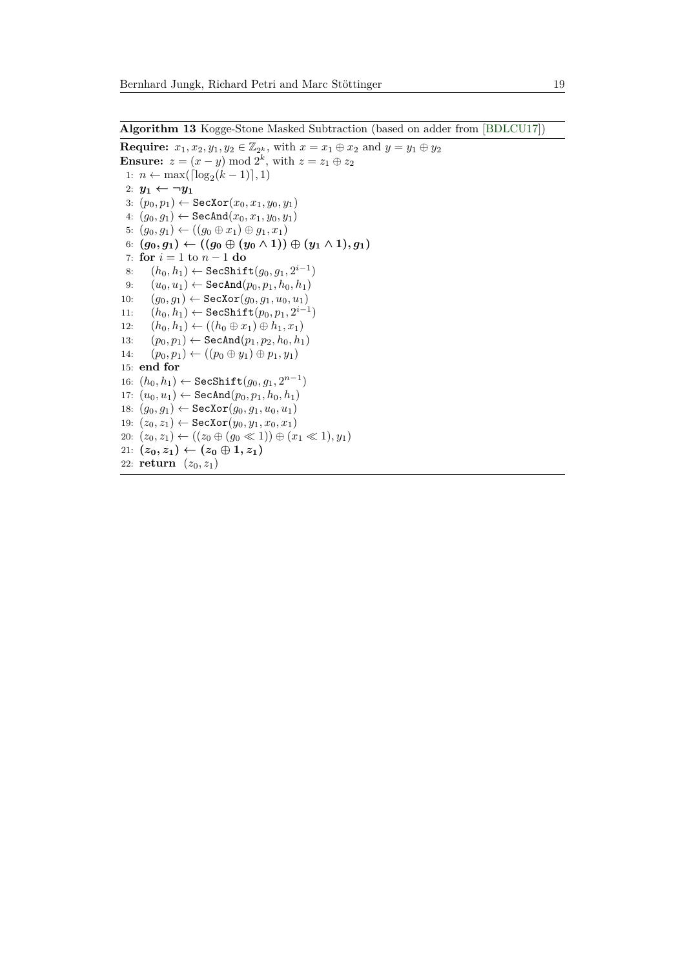<span id="page-18-0"></span>**Algorithm 13** Kogge-Stone Masked Subtraction (based on adder from [\[BDLCU17\]](#page-24-2))

**Require:**  $x_1, x_2, y_1, y_2 \in \mathbb{Z}_{2^k}$ , with  $x = x_1 \oplus x_2$  and  $y = y_1 \oplus y_2$ **Ensure:**  $z = (x - y) \text{ mod } 2^k$ , with  $z = z_1 \oplus z_2$ 1:  $n \leftarrow \max(\lceil \log_2(k-1) \rceil, 1)$ 2:  $y_1 \leftarrow \neg y_1$ 3:  $(p_0, p_1)$  ← SecXor $(x_0, x_1, y_0, y_1)$ 4: (*g*0*, g*1) ← SecAnd(*x*0*, x*1*, y*0*, y*1) 5:  $(g_0, g_1) \leftarrow ((g_0 \oplus x_1) \oplus g_1, x_1)$  $(6: (g_0, g_1) \leftarrow ((g_0 \oplus (y_0 \wedge 1)) \oplus (y_1 \wedge 1), g_1)$ 7: **for** *i* = 1 to *n* − 1 **do**  $8:$   $(h_0, h_1) \leftarrow \texttt{SecShift}(g_0, g_1, 2^{i-1})$ 9:  $(u_0, u_1) \leftarrow \texttt{SecAnd}(p_0, p_1, h_0, h_1)$ 10:  $(g_0, g_1) \leftarrow \text{SecXor}(g_0, g_1, u_0, u_1)$ 11:  $(h_0, h_1) \leftarrow \texttt{SecShift}(p_0, p_1, 2^{i-1})$ 12:  $(h_0, h_1) \leftarrow ((h_0 \oplus x_1) \oplus h_1, x_1)$ 13:  $(p_0, p_1) \leftarrow \texttt{SecAnd}(p_1, p_2, h_0, h_1)$ 14:  $(p_0, p_1) \leftarrow ((p_0 \oplus y_1) \oplus p_1, y_1)$ 15: **end for** 16:  $(h_0, h_1)$  ← SecShift $(g_0, g_1, 2^{n-1})$ 17:  $(u_0, u_1) \leftarrow \texttt{SecAnd}(p_0, p_1, h_0, h_1)$ 18:  $(g_0, g_1)$  ← SecXor $(g_0, g_1, u_0, u_1)$ 19:  $(z_0, z_1)$  ← SecXor $(y_0, y_1, x_0, x_1)$ 20:  $(z_0, z_1) \leftarrow ((z_0 \oplus (g_0 \ll 1)) \oplus (x_1 \ll 1), y_1)$  $21: (z_0, z_1) \leftarrow (z_0 \oplus 1, z_1)$ 22: **return**  $(z_0, z_1)$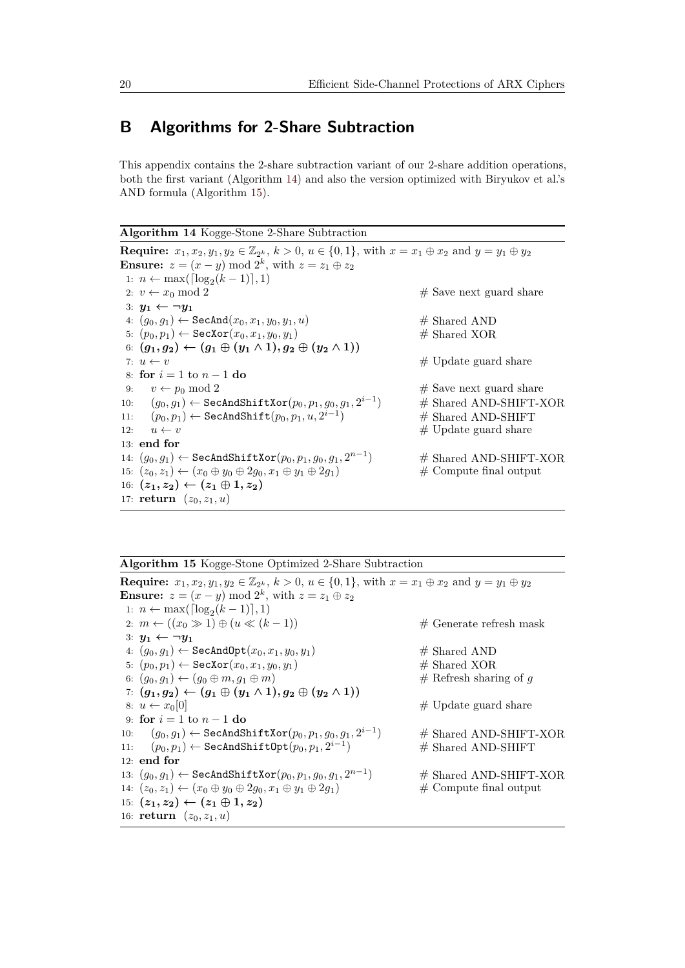# <span id="page-19-0"></span>**B Algorithms for 2-Share Subtraction**

This appendix contains the 2-share subtraction variant of our 2-share addition operations, both the first variant (Algorithm [14\)](#page-19-1) and also the version optimized with Biryukov et al.'s AND formula (Algorithm [15\)](#page-19-2).

<span id="page-19-1"></span>

|  |  | Algorithm 14 Kogge-Stone 2-Share Subtraction |  |  |
|--|--|----------------------------------------------|--|--|
|--|--|----------------------------------------------|--|--|

**Require:**  $x_1, x_2, y_1, y_2 \in \mathbb{Z}_{2^k}, k > 0, u \in \{0, 1\}$ , with  $x = x_1 \oplus x_2$  and  $y = y_1 \oplus y_2$ **Ensure:**  $z = (x - y) \text{ mod } 2^k$ , with  $z = z_1 \oplus z_2$ 1:  $n \leftarrow \max(\lceil \log_2(k-1) \rceil, 1)$ 2:  $v \leftarrow x_0 \mod 2$  # Save next guard share 3:  $y_1 \leftarrow \neg y_1$ 4:  $(g_0, g_1) \leftarrow \texttt{SecAnd}(x_0, x_1, y_0, y_1, u)$  # Shared AND 5:  $(p_0, p_1) \leftarrow \text{SecXor}(x_0, x_1, y_0, y_1)$  # Shared XOR  $(9_1, 9_2) \leftarrow (9_1 \oplus (y_1 \wedge 1), 9_2 \oplus (y_2 \wedge 1))$ 7:  $u \leftarrow v$  *+ Update guard share* 8: **for** *i* = 1 to *n* − 1 **do** 9:  $v \leftarrow p_0 \mod 2$  # Save next guard share 10:  $(g_0, g_1) \leftarrow \texttt{SecAndShiftXor}(p_0, p_1, g_0, g_1, 2^{i-1})$  $#$  Shared AND-SHIFT-XOR 11:  $(p_0, p_1) \leftarrow \texttt{SecAndShift}(p_0, p_1, u, 2^{i-1})$  $#$  Shared AND-SHIFT 12:  $u \leftarrow v$   $\qquad \qquad \#$  Update guard share 13: **end for** 14:  $(g_0, g_1)$  ← SecAndShiftXor $(p_0, p_1, g_0, g_1, 2^{n-1})$ ) # Shared AND-SHIFT-XOR 15:  $(z_0, z_1) \leftarrow (x_0 \oplus y_0 \oplus 2g_0, x_1 \oplus y_1 \oplus 2g_1)$  # Compute final output  $16: (z_1, z_2) \leftarrow (z_1 \oplus 1, z_2)$ 17: **return**  $(z_0, z_1, u)$ 

<span id="page-19-2"></span>**Algorithm 15** Kogge-Stone Optimized 2-Share Subtraction

**Require:**  $x_1, x_2, y_1, y_2 \in \mathbb{Z}_{2^k}, k > 0, u \in \{0, 1\}$ , with  $x = x_1 \oplus x_2$  and  $y = y_1 \oplus y_2$ **Ensure:**  $z = (x - y) \text{ mod } 2^k$ , with  $z = z_1 \oplus z_2$ 1:  $n \leftarrow \max(\lceil \log_2(k-1) \rceil, 1)$ 2:  $m \leftarrow ((x_0 \gg 1) \oplus (u \ll (k-1))$  # Generate refresh mask  $3: y_1 \leftarrow \neg y_1$ 4:  $(q_0, q_1) \leftarrow \text{SecAndOpt}(x_0, x_1, y_0, y_1)$  # Shared AND 5:  $(p_0, p_1) \leftarrow$  SecXor $(x_0, x_1, y_0, y_1)$  # Shared XOR 6:  $(g_0, g_1) \leftarrow (g_0 \oplus m, g_1 \oplus m)$  # Refresh sharing of *g*  $( q_1, q_2) \leftarrow (q_1 \oplus (y_1 \wedge 1), q_2 \oplus (y_2 \wedge 1))$ 8:  $u \leftarrow x_0[0]$  # Update guard share 9: **for** *i* = 1 to *n* − 1 **do** 10:  $(g_0, g_1) \leftarrow \texttt{SecAndShiftXor}(p_0, p_1, g_0, g_1, 2^{i-1})$ ) # Shared AND-SHIFT-XOR 11:  $(p_0, p_1) \leftarrow \texttt{SecAndShiftOpt}(p_0, p_1, 2^{i-1})$  $#$  Shared AND-SHIFT 12: **end for** 13:  $(g_0, g_1)$  ← SecAndShiftXor $(p_0, p_1, g_0, g_1, 2^{n-1})$  $#$  Shared AND-SHIFT-XOR 14:  $(z_0, z_1) \leftarrow (x_0 \oplus y_0 \oplus 2g_0, x_1 \oplus y_1 \oplus 2g_1)$  # Compute final output  $(2_1, 2_2) \leftarrow (z_1 \oplus 1, z_2)$ 16: **return**  $(z_0, z_1, u)$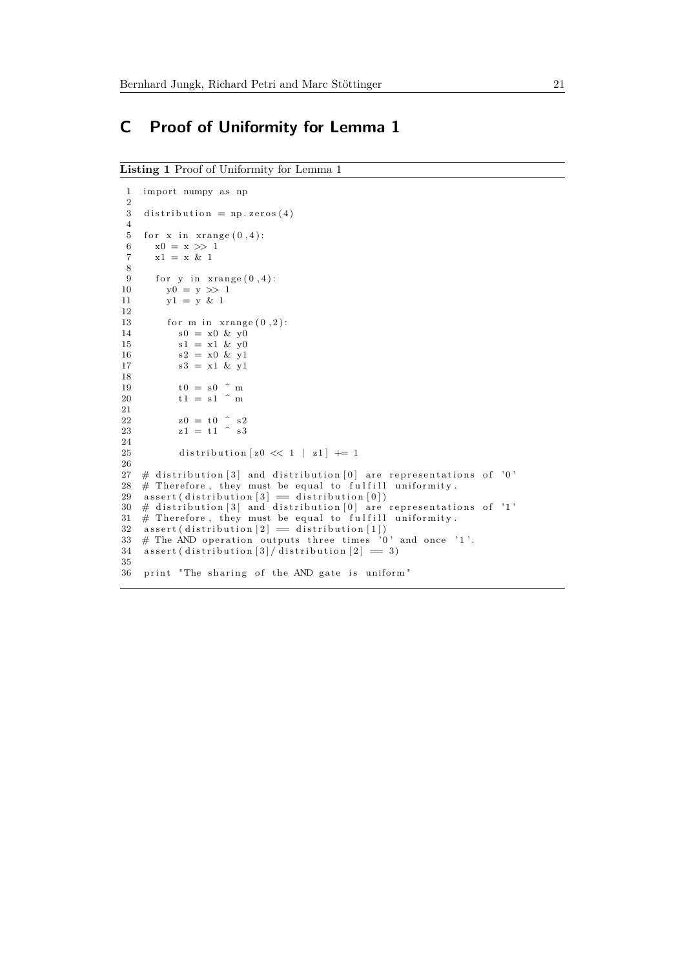# <span id="page-20-1"></span>**C Proof of Uniformity for Lemma 1**

```
Listing 1 Proof of Uniformity for Lemma 1
```

```
1 import numpy as np
 \frac{2}{3}distribution = np{\text .}zeros(4)4
 5 for x in x range (0, 4):<br>6 x0 = x >> 1
      x0 = x \gg 17 x1 = x & 18
9 for y in \text{range}(0, 4):
10 y0 = y \gg 111 y1 = y & 1\frac{12}{13}for m in x range (0, 2):
14 s0 = x0 \& y015 s1 = x1 \& y0<br>16 s2 = x0 \& y1s2 = x0 \& y117 s3 = x1 \& y1\frac{18}{19}19 t0 = s0 m
20 t1 = s1 \hat{m}\frac{21}{22}22 z0 = t0 \hat{ } s 2
23 z1 = t1 \degree s 3
24
25 distribution [z0 \ll 1 \mid z1] \neq 1\frac{26}{27}# distribution [3] and distribution [0] are representations of '0'
28 # Therefore, they must be equal to fulfill uniformity.
29 assert (distribution [3] = distribution [0])
30 \# distribution [3] and distribution [0] are representations of '1'
31 # Therefore, they must be equal to fulfill uniformity.<br>32 assert (distribution [2] = distribution [1])
    \alpha assert (distribution [2] = distribution [1])
33 # The AND operation outputs three times \frac{1}{2} and once '1'.
34 assert (distribution \left[3\right] / distribution \left[2\right] = 3)
35
36 print "The sharing of the AND gate is uniform"
```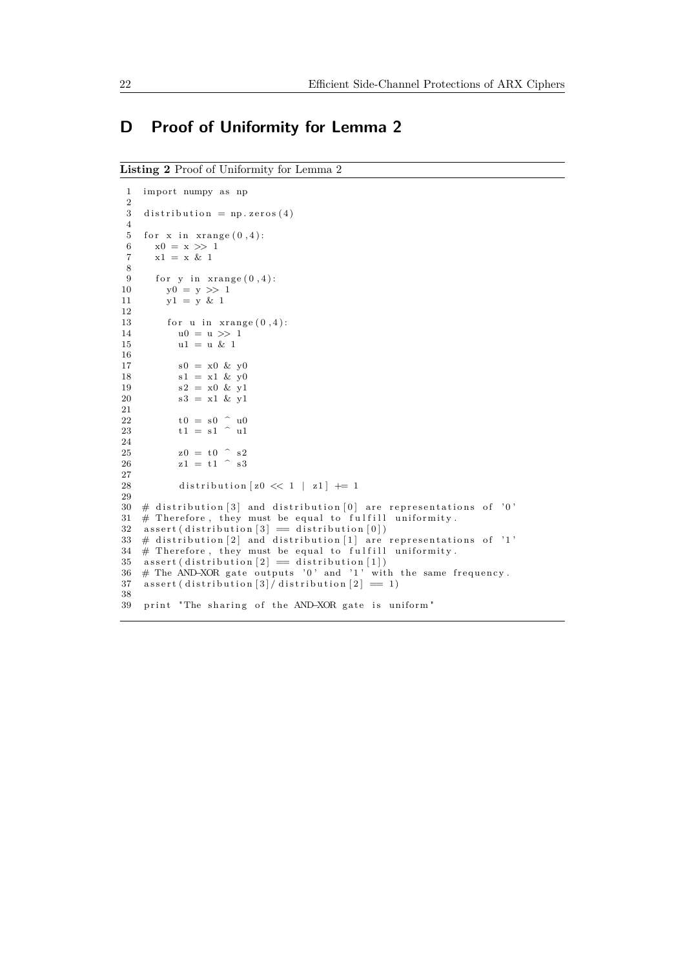# <span id="page-21-1"></span>**D Proof of Uniformity for Lemma 2**

```
Listing 2 Proof of Uniformity for Lemma 2
```

```
1 import numpy as np
 \frac{2}{3}distribution = np{\text .}zeros(4)4
 5 for x in x range (0, 4):<br>6 x0 = x >> 1
      x0 = x \gg 17 x1 = x & 18
 9 for y in \text{range}(0, 4):
10 y0 = y \gg 1<br>11 y1 = y \& 1y1 = y \& 1\frac{12}{13}for u in x range (0, 4):
14 u0 = u \gg 115 u1 = u & 116
17 s0 = x0 \& y018 s1 = x1 \& y0<br>19 s2 = x0 \& y1s2 = x0 \& y120 s3 = x1 \& y1\frac{21}{22}22 t0 = s0 u023 t1 = s1 u124
25 z0 = t0 \degree s 2
26 z1 = t1 \hat{ } s 3
27
28 distribution [z0 \ll 1 \mid z1] \neq 129
30 \# distribution [3] and distribution [0] are representations of '0'
31 # Therefore, they must be equal to fulfill uniformity.<br>32 assert (distribution [3] = distribution [0])
    \text{assert}(\text{distribution}[3] = \text{distribution}[0])33 \# distribution [2] and distribution [1] are representations of '1'
34 # Therefore, they must be equal to fulfill uniformity.
35 assert (distribution [2] = distribution [1])
36 # The AND–XOR gate outputs '0' and '1' with the same frequency.
37 assert (distribution \left[3\right] / distribution \left[2\right] = 1)
38
39 print "The sharing of the AND-XOR gate is uniform"
```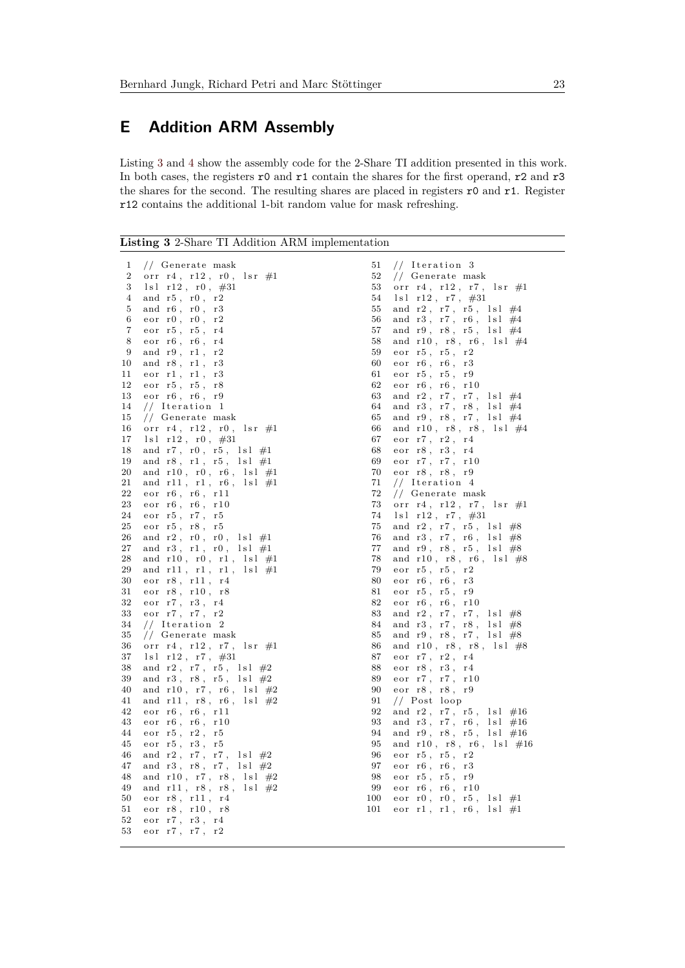# <span id="page-22-0"></span>**E Addition ARM Assembly**

Listing [3](#page-22-1) and [4](#page-23-2) show the assembly code for the 2-Share TI addition presented in this work. In both cases, the registers r0 and r1 contain the shares for the first operand, r2 and r3 the shares for the second. The resulting shares are placed in registers r0 and r1. Register r12 contains the additional 1-bit random value for mask refreshing.

<span id="page-22-1"></span>**Listing 3** 2-Share TI Addition ARM implementation

| $\mathbf 1$    | // Generate mask                                                 | 51       | // Iteration 3                                                                                                                                   |
|----------------|------------------------------------------------------------------|----------|--------------------------------------------------------------------------------------------------------------------------------------------------|
| $\overline{2}$ | orr $r4$ , $r12$ , $r0$ ,<br>$\frac{1}{2}$ is r $\frac{\#1}{2}$  | 52       | // Generate mask                                                                                                                                 |
| 3              | 1s1 r12, r0, #31                                                 | 53       | orr $r4$ , $r12$ , $r7$ , $1sr$ $#1$                                                                                                             |
| $\overline{4}$ | and $r5$ , $r0$ , $r2$                                           | 54       | $1 \, \text{s1}$ $\text{r12}$ , $\text{r7}$ , $\#31$                                                                                             |
| 5              | and $r6$ , $r0$ , $r3$                                           | 55       | and $r2$ , $r7$ , $r5$ , $1\,\mathrm{s}1$ #4                                                                                                     |
| $\,6\,$        | eor $r0$ , $r0$ , $r2$                                           | 56       | and r3, r7, r6, 1s1 #4                                                                                                                           |
| 7              | eor r5, r5, r4                                                   | 57       | and $r9, r8, r5, ls1 #4$                                                                                                                         |
| 8              | eor r6, r6, r4                                                   | 58       | and r10, r8, r6, lsl $#4$                                                                                                                        |
| 9              | and $r9$ , $r1$ , $r2$                                           | 59       | eor r5, r5, r2                                                                                                                                   |
| 10             | and $r8$ , $r1$ , $r3$                                           | 60       | eor r6, r6, r3                                                                                                                                   |
| 11             | eor r1, r1, r3                                                   | 61       | eor r5, r5,<br>r9                                                                                                                                |
| 12             | eor r5, r5, r8                                                   | 62       | eor r6, r6, r10                                                                                                                                  |
| 13             | eor r6, r6, r9                                                   | 63       | and $r2$ , $r7$ , $r7$ ,<br>$\vert s \vert \neq 4$                                                                                               |
| 14             | // Iteration 1                                                   | 64       | and r3, r7, r8, 1s1<br>#4                                                                                                                        |
| 15             | // Generate mask                                                 | 65       | and r9, r8, r7,<br>$\frac{1}{1}$ s $\frac{1}{1}$ $\frac{1}{1}$ $\frac{1}{1}$                                                                     |
| 16             | orr $r4$ , $r12$ , $r0$ , $lsr$ $#1$                             | 66       | and r10, r8, r8, lsl $#4$                                                                                                                        |
| 17             | 1s1 r12, r0, #31                                                 | 67       | eor r7, r2, r4                                                                                                                                   |
| 18             | and $r7$ , $r0$ , $r5$ , $1sl$ $#1$                              | 68       | eor r8, r3,<br>r <sub>4</sub>                                                                                                                    |
| 19             | and $r8$ , $r1$ , $r5$ , $ls1 \#1$                               | 69       | eor r7, r7, r10                                                                                                                                  |
| 20             | and r10, r0, r6, lsl $\#1$                                       | 70       | eor r8, r8, r9                                                                                                                                   |
| 21             | and $r11$ , $r1$ , $r6$ , $ls1 #1$                               | 71       | // Iteration 4                                                                                                                                   |
| 22             | eor r6, r6, r11                                                  | 72       | // Generate mask                                                                                                                                 |
| 23             | $e$ or $r6$ , $r6$ , $r10$                                       | 73       | orr r4, r12, r7, lsr #1                                                                                                                          |
| 24             | eor r5, r7, r5                                                   | 74       | $1 \text{ s1 r12}, r7, #31$                                                                                                                      |
| 25             | eor r5, r8, r5                                                   | 75       | and $r2$ , $r7$ , $r5$ , $1sl$ $#8$                                                                                                              |
| 26             | and $r2$ , $r0$ , $r0$ , $ls1 \#1$                               | 76       | and $r3$ , $r7$ , $r6$ , $1s1 \#8$                                                                                                               |
| 27             | and $r3$ , $r1$ , $r0$ , $ls1 \#1$                               | 77<br>78 | and $r9, r8, r5, ls1 #8$                                                                                                                         |
| 28<br>29       | and $r10$ , $r0$ , $r1$ , $ls1 #1$<br>and r11, r1, r1, lsl $\#1$ | 79       | and $r10$ , $r8$ , $r6$ , $1sl$ $#8$<br>eor $r5$ , $r5$ , $r2$                                                                                   |
| 30             | eor r8, r11, r4                                                  | 80       | eor r6, r6, r3                                                                                                                                   |
| 31             | eor r8, r10, r8                                                  | 81       | eor r5, r5, r9                                                                                                                                   |
| 32             | eor r7, r3, r4                                                   | 82       | eor r6, r6, r10                                                                                                                                  |
| 33             | eor r7, r7, r2                                                   | 83       | and $\hspace{.08cm}$ r2 , $\hspace{.08cm}$ r7 , $\hspace{.08cm}$ r7 ,<br>$\frac{1}{1}$ s $\frac{1}{1}$ $\frac{1}{1}$ $\frac{1}{1}$ $\frac{1}{1}$ |
| 34             | // Iteration 2                                                   | 84       | and r3, r7, r8,<br>$\frac{1}{1}$ s $\frac{1}{1}$ $\frac{1}{1}$ $\frac{1}{1}$ $\frac{1}{1}$ $\frac{1}{1}$                                         |
| 35             | // Generate mask                                                 | 85       | $\frac{1}{1}$ sl #8<br>and $r9$ , $r8$ , $r7$ ,                                                                                                  |
| 36             | orr $r4$ , $r12$ , $r7$ , $1sr$ $\#1$                            | 86       | and r10, r8, r8, lsl $#8$                                                                                                                        |
| 37             | 1s1 r12, r7, #31                                                 | 87       | eor r7, r2, r4                                                                                                                                   |
| 38             | and $r2$ , $r7$ , $r5$ , $1sl$ $#2$                              | 88       | eor r8, r3, r4                                                                                                                                   |
| 39             | and $r3$ , $r8$ , $r5$ , $1sl$ $#2$                              | 89       | eor r7, r7,<br>r 1 0                                                                                                                             |
| 40             | and r10, r7, r6, lsl $#2$                                        | 90       | eor r8, r8, r9                                                                                                                                   |
| 41             | and r11, r8, r6, lsl $#2$                                        | 91       | // $Post loop$                                                                                                                                   |
| 42             | eor $r6$ , $r6$ , $r11$                                          | 92       | and $r2$ , $r7$ , $r5$ ,<br>#16<br>lsl                                                                                                           |
| 43             | $e$ or $r6$ , $r6$ , $r10$                                       | 93       | and $r3$ , $r7$ , $r6$ ,<br>$\vert s \vert \neq 16$                                                                                              |
| 44             | eor r5, r2, r5                                                   | 94       | and $r9, r8, r5, ls1 #16$                                                                                                                        |
| 45             | eor r5, r3, r5                                                   | 95       | and $r10$ , $r8$ , $r6$ , $ls1 \#16$                                                                                                             |
| 46             | and $r2$ , $r7$ , $r7$ , $1s1$ $\#2$                             | 96       | eor r5, r5, r2                                                                                                                                   |
| 47             | and $r3$ , $r8$ , $r7$ , $1sl$ $#2$                              | 97       | eor r6, r6,<br>r3                                                                                                                                |
| 48             | and $r10$ , $r7$ , $r8$ , $1sl$ $#2$                             | 98       | eor r5, r5,<br>r9                                                                                                                                |
| 49             | and r11, r8, r8, lsl $#2$                                        | 99       | eor r6, r6, r10                                                                                                                                  |
| 50             | eor r8, r11, r4                                                  | 100      | $e$ or $r0$ , $r0$ , $r5$ ,<br>$\left  \text{s} \right  \neq 1$                                                                                  |
| 51             | eor r8, r10, r8                                                  | 101      | eor $r1$ , $r1$ , $r6$ ,<br>$\left  \text{s} \right  \neq 1$                                                                                     |
| 52             | eor r7, r3, r4                                                   |          |                                                                                                                                                  |
| 53             | eor r7, r7, r2                                                   |          |                                                                                                                                                  |
|                |                                                                  |          |                                                                                                                                                  |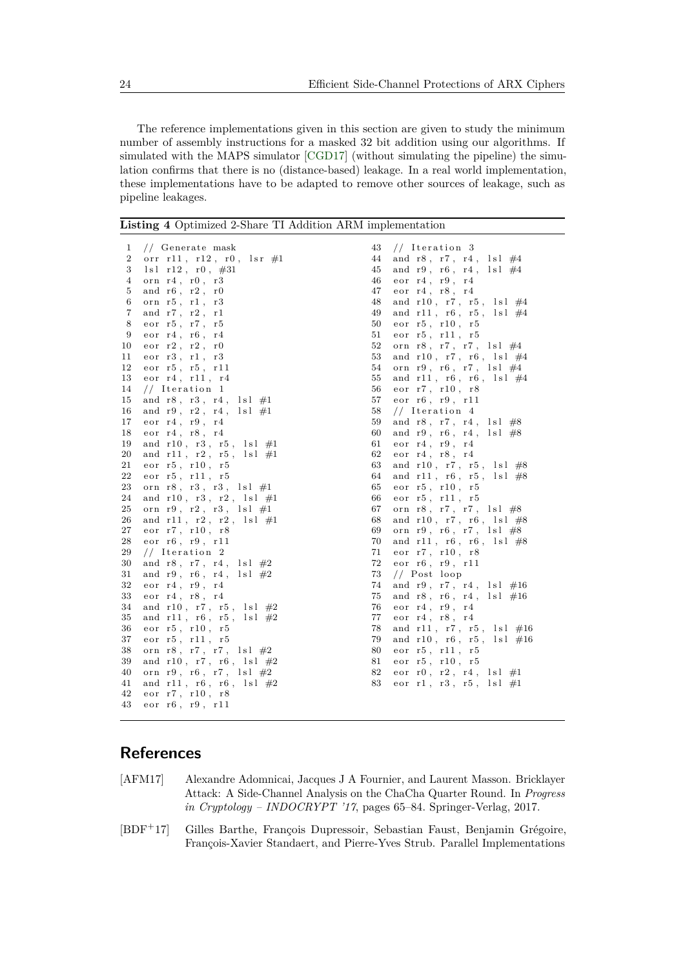The reference implementations given in this section are given to study the minimum number of assembly instructions for a masked 32 bit addition using our algorithms. If simulated with the MAPS simulator [\[CGD17\]](#page-24-8) (without simulating the pipeline) the simulation confirms that there is no (distance-based) leakage. In a real world implementation, these implementations have to be adapted to remove other sources of leakage, such as pipeline leakages.

| 1                 | // Generate mask                    | 43     | // Iteration 3                                                                     |
|-------------------|-------------------------------------|--------|------------------------------------------------------------------------------------|
| $\,2$             | orr r11, r12, r0, $1sr \#1$         | 44     | and $r8$ , $r7$ , $r4$ , $1s1$ $#4$                                                |
| 3                 | 1sl $r12$ , $r0$ , $\#31$           | 45     | and $r9, r6, r4, ls1 #4$                                                           |
| 4                 | orn $r4$ , $r0$ , $r3$              | 46     | eor $r4$ , $r9$ , $r4$                                                             |
| $\bf 5$           | and $r6$ , $r2$ , $r0$              | 47     | eor r4, r8, r4                                                                     |
| $\,6\,$           | orn r5, r1, r3                      | 48     | and $r10$ , $r7$ , $r5$ , $1s1$ $\#4$                                              |
| $\scriptstyle{7}$ | and $r7$ , $r2$ , $r1$              | 49     | and $r11$ , $r6$ , $r5$ , $1s1$ $#4$                                               |
| 8                 | eor $r5$ , $r7$ , $r5$              | 50     | eor r5, r10, r5                                                                    |
| 9                 | eor $r4$ , $r6$ , $r4$              | 51     | eor r5, r11, r5                                                                    |
| 10                | eor $r2$ , $r2$ , $r0$              | 52     | orn r8, r7, r7, 1s1 #4                                                             |
| 11                | eor $r3$ , $r1$ , $r3$              | 53     | and $r10$ , $r7$ , $r6$ , $1sl$ $#4$                                               |
| 12                | eor r5, r5, r11                     | 54     | orn $r9, r6, r7, ls1 #4$                                                           |
| 13                | eor r4, r11, r4                     | 55     | and $r11$ , $r6$ , $r6$ , $1s1$ $#4$                                               |
| 14                | // Iteration 1                      | 56     | eor r7, r10, r8                                                                    |
| 15                | and $r8$ , $r3$ , $r4$ , $ls1 \#1$  | 57     | eor r6, r9, r11                                                                    |
| 16                | and $r9, r2, r4, ls1 #1$            | 58     | // Iteration 4                                                                     |
| 17                | eor $r4$ , $r9$ , $r4$              | 59     | and $r8$ , $r7$ , $r4$ , $1sl$ $#8$                                                |
| 18                | eor r4, r8, r4                      | 60     | and $r9, r6, r4, ls1 #8$                                                           |
| 19                | and r10, r3, r5, lsl $#1$           | 61     | eor $r4$ , $r9$ , $r4$                                                             |
| 20                | and r11, r2, r5, lsl $#1$           | 62     | eor r4, r8, r4                                                                     |
| 21                | eor $r5$ , $r10$ , $r5$             | 63     | and $r10$ , $r7$ , $r5$ , $1sl$ $#8$                                               |
| 22                | eor r5, r11, r5                     | 64     | and $r11$ , $r6$ , $r5$ , $1s1 \#8$                                                |
| 23                | orn $r8$ , $r3$ , $r3$ , $lsl \#1$  | 65     | eor r5, r10, r5                                                                    |
| 24                | and $r10$ , $r3$ , $r2$ , $ls1 \#1$ | 66     | eor r5, r11, r5                                                                    |
| 25                | orn r9, r2, r3, lsl $\#1$           | 67     | orn $r8$ , $r7$ , $r7$ , $1sl$ $#8$                                                |
| 26                | and r11, r2, r2, lsl $#1$           | 68     | and $r10$ , $r7$ , $r6$ , $1s1$ $#8$                                               |
| 27                | eor r7, r10, r8                     | 69     | orn r9, r6, r7, 1s1 #8                                                             |
| 28                | eor r6, r9, r11                     | 70     | and r11, r6, r6, lsl $#8$                                                          |
| 29                | // Iteration 2                      | 71     | eor r7, r10, r8                                                                    |
| 30                | and $r8$ , $r7$ , $r4$ , $1s1 \#2$  | $72\,$ | eor r6, r9, r11                                                                    |
| 31                | and $r9, r6, r4, ls1 #2$            | 73     | $//$ Post loop                                                                     |
| $32\,$            | eor r4, r9, r4                      | 74     | and $r9, r7, r4, ls1 #16$                                                          |
| 33                | eor r4, r8, r4                      | 75     | and $r8$ , $r6$ , $r4$ , $ls1$ $#16$                                               |
| 34                | and r10, r7, r5, 1s1 $#2$           | 76     | eor r4, r9, r4                                                                     |
| 35                | and r11, r6, r5, 1s1 $#2$           | 77     | eor r4, r8, r4                                                                     |
| 36                | eor $r5$ , $r10$ , $r5$             | 78     | and r11, r7, r5, 1s1 $\#16$                                                        |
| 37                | eor r5, r11, r5                     | 79     | and $r10$ , $r6$ , $r5$ , $1sl$ $#16$                                              |
| 38                | orn $r8$ , $r7$ , $r7$ , $1sl$ $#2$ | 80     | eor r5, r11, r5                                                                    |
| 39                | and r10, r7, r6, lsl $#2$           | 81     | eor r5, r10, r5                                                                    |
| 40                | orn r9, r6, r7, 1s1 $\#2$           | 82     | $\text{eor} \text{r0}, \text{r2}, \text{r4},$<br>$\left  \text{ls} \right  \neq 1$ |
| 41                | and r11, r6, r6, lsl $#2$           | 83     | $\text{eor } r1$ , $r3$ , $r5$ ,<br>$\vert s \vert \neq 1$                         |
| 42                | eor r7, r10, r8                     |        |                                                                                    |
| 43                | eor r6, r9, r11                     |        |                                                                                    |
|                   |                                     |        |                                                                                    |

<span id="page-23-2"></span>**Listing 4** Optimized 2-Share TI Addition ARM implementation

# **References**

- <span id="page-23-0"></span>[AFM17] Alexandre Adomnicai, Jacques J A Fournier, and Laurent Masson. Bricklayer Attack: A Side-Channel Analysis on the ChaCha Quarter Round. In *Progress in Cryptology – INDOCRYPT '17*, pages 65–84. Springer-Verlag, 2017.
- <span id="page-23-1"></span>[BDF<sup>+</sup>17] Gilles Barthe, François Dupressoir, Sebastian Faust, Benjamin Grégoire, François-Xavier Standaert, and Pierre-Yves Strub. Parallel Implementations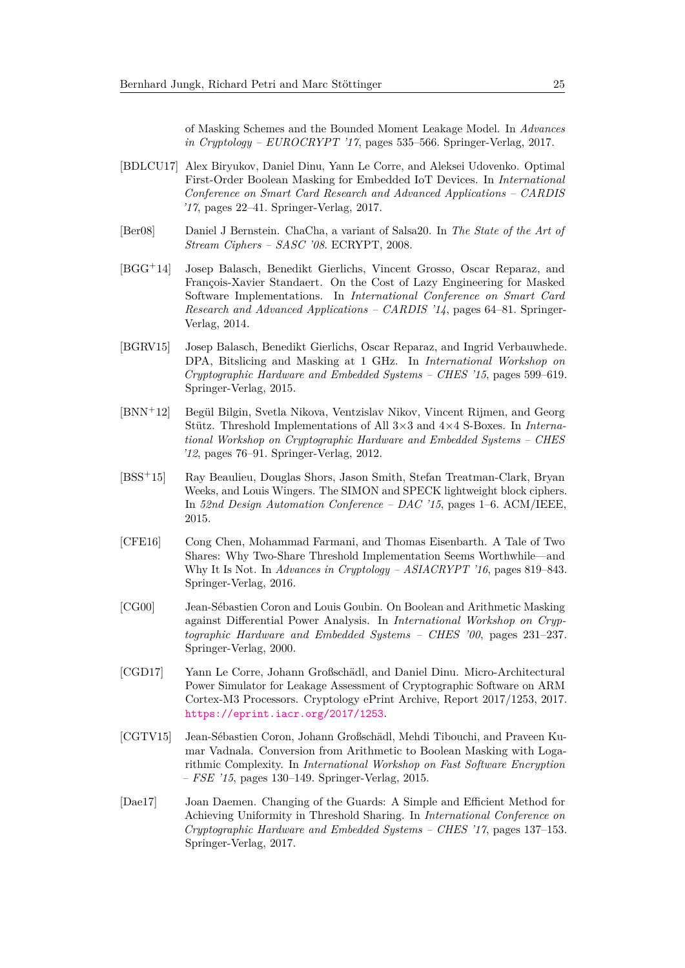of Masking Schemes and the Bounded Moment Leakage Model. In *Advances in Cryptology – EUROCRYPT '17*, pages 535–566. Springer-Verlag, 2017.

- <span id="page-24-2"></span>[BDLCU17] Alex Biryukov, Daniel Dinu, Yann Le Corre, and Aleksei Udovenko. Optimal First-Order Boolean Masking for Embedded IoT Devices. In *International Conference on Smart Card Research and Advanced Applications – CARDIS '17*, pages 22–41. Springer-Verlag, 2017.
- <span id="page-24-1"></span>[Ber08] Daniel J Bernstein. ChaCha, a variant of Salsa20. In *The State of the Art of Stream Ciphers – SASC '08*. ECRYPT, 2008.
- <span id="page-24-9"></span>[BGG<sup>+</sup>14] Josep Balasch, Benedikt Gierlichs, Vincent Grosso, Oscar Reparaz, and François-Xavier Standaert. On the Cost of Lazy Engineering for Masked Software Implementations. In *International Conference on Smart Card Research and Advanced Applications – CARDIS '14*, pages 64–81. Springer-Verlag, 2014.
- <span id="page-24-3"></span>[BGRV15] Josep Balasch, Benedikt Gierlichs, Oscar Reparaz, and Ingrid Verbauwhede. DPA, Bitslicing and Masking at 1 GHz. In *International Workshop on Cryptographic Hardware and Embedded Systems – CHES '15*, pages 599–619. Springer-Verlag, 2015.
- <span id="page-24-5"></span>[BNN<sup>+</sup>12] Begül Bilgin, Svetla Nikova, Ventzislav Nikov, Vincent Rijmen, and Georg Stütz. Threshold Implementations of All 3×3 and 4×4 S-Boxes. In *International Workshop on Cryptographic Hardware and Embedded Systems – CHES '12*, pages 76–91. Springer-Verlag, 2012.
- <span id="page-24-0"></span>[BSS<sup>+</sup>15] Ray Beaulieu, Douglas Shors, Jason Smith, Stefan Treatman-Clark, Bryan Weeks, and Louis Wingers. The SIMON and SPECK lightweight block ciphers. In *52nd Design Automation Conference – DAC '15*, pages 1–6. ACM/IEEE, 2015.
- <span id="page-24-6"></span>[CFE16] Cong Chen, Mohammad Farmani, and Thomas Eisenbarth. A Tale of Two Shares: Why Two-Share Threshold Implementation Seems Worthwhile—and Why It Is Not. In *Advances in Cryptology – ASIACRYPT '16*, pages 819–843. Springer-Verlag, 2016.
- <span id="page-24-10"></span>[CG00] Jean-Sébastien Coron and Louis Goubin. On Boolean and Arithmetic Masking against Differential Power Analysis. In *International Workshop on Cryptographic Hardware and Embedded Systems – CHES '00*, pages 231–237. Springer-Verlag, 2000.
- <span id="page-24-8"></span>[CGD17] Yann Le Corre, Johann Großschädl, and Daniel Dinu. Micro-Architectural Power Simulator for Leakage Assessment of Cryptographic Software on ARM Cortex-M3 Processors. Cryptology ePrint Archive, Report 2017/1253, 2017. <https://eprint.iacr.org/2017/1253>.
- <span id="page-24-4"></span>[CGTV15] Jean-Sébastien Coron, Johann Großschädl, Mehdi Tibouchi, and Praveen Kumar Vadnala. Conversion from Arithmetic to Boolean Masking with Logarithmic Complexity. In *International Workshop on Fast Software Encryption – FSE '15*, pages 130–149. Springer-Verlag, 2015.
- <span id="page-24-7"></span>[Dae17] Joan Daemen. Changing of the Guards: A Simple and Efficient Method for Achieving Uniformity in Threshold Sharing. In *International Conference on Cryptographic Hardware and Embedded Systems – CHES '17*, pages 137–153. Springer-Verlag, 2017.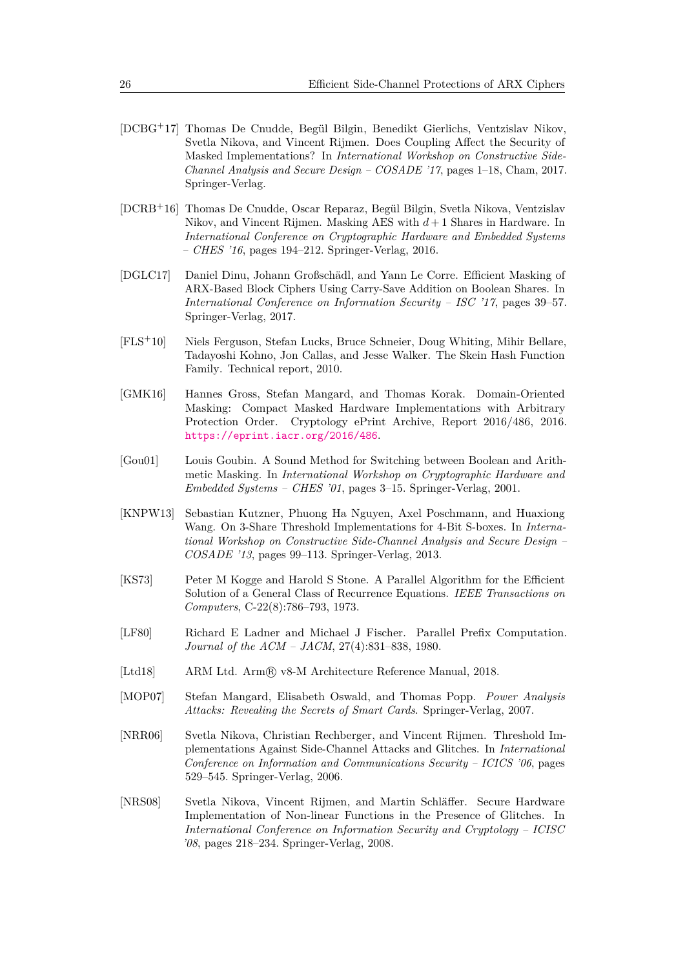- <span id="page-25-11"></span>[DCBG<sup>+</sup>17] Thomas De Cnudde, Begül Bilgin, Benedikt Gierlichs, Ventzislav Nikov, Svetla Nikova, and Vincent Rijmen. Does Coupling Affect the Security of Masked Implementations? In *International Workshop on Constructive Side-Channel Analysis and Secure Design – COSADE '17*, pages 1–18, Cham, 2017. Springer-Verlag.
- <span id="page-25-8"></span>[DCRB<sup>+</sup>16] Thomas De Cnudde, Oscar Reparaz, Begül Bilgin, Svetla Nikova, Ventzislav Nikov, and Vincent Rijmen. Masking AES with *d* + 1 Shares in Hardware. In *International Conference on Cryptographic Hardware and Embedded Systems – CHES '16*, pages 194–212. Springer-Verlag, 2016.
- <span id="page-25-1"></span>[DGLC17] Daniel Dinu, Johann Großschädl, and Yann Le Corre. Efficient Masking of ARX-Based Block Ciphers Using Carry-Save Addition on Boolean Shares. In *International Conference on Information Security – ISC '17*, pages 39–57. Springer-Verlag, 2017.
- <span id="page-25-0"></span>[FLS<sup>+</sup>10] Niels Ferguson, Stefan Lucks, Bruce Schneier, Doug Whiting, Mihir Bellare, Tadayoshi Kohno, Jon Callas, and Jesse Walker. The Skein Hash Function Family. Technical report, 2010.
- <span id="page-25-12"></span>[GMK16] Hannes Gross, Stefan Mangard, and Thomas Korak. Domain-Oriented Masking: Compact Masked Hardware Implementations with Arbitrary Protection Order. Cryptology ePrint Archive, Report 2016/486, 2016. <https://eprint.iacr.org/2016/486>.
- <span id="page-25-3"></span>[Gou01] Louis Goubin. A Sound Method for Switching between Boolean and Arithmetic Masking. In *International Workshop on Cryptographic Hardware and Embedded Systems – CHES '01*, pages 3–15. Springer-Verlag, 2001.
- <span id="page-25-7"></span>[KNPW13] Sebastian Kutzner, Phuong Ha Nguyen, Axel Poschmann, and Huaxiong Wang. On 3-Share Threshold Implementations for 4-Bit S-boxes. In *International Workshop on Constructive Side-Channel Analysis and Secure Design – COSADE '13*, pages 99–113. Springer-Verlag, 2013.
- <span id="page-25-10"></span>[KS73] Peter M Kogge and Harold S Stone. A Parallel Algorithm for the Efficient Solution of a General Class of Recurrence Equations. *IEEE Transactions on Computers*, C-22(8):786–793, 1973.
- <span id="page-25-9"></span>[LF80] Richard E Ladner and Michael J Fischer. Parallel Prefix Computation. *Journal of the ACM – JACM*, 27(4):831–838, 1980.
- <span id="page-25-2"></span>[Ltd18] ARM Ltd. Arm $\circledR$  v8-M Architecture Reference Manual, 2018.
- <span id="page-25-4"></span>[MOP07] Stefan Mangard, Elisabeth Oswald, and Thomas Popp. *Power Analysis Attacks: Revealing the Secrets of Smart Cards*. Springer-Verlag, 2007.
- <span id="page-25-5"></span>[NRR06] Svetla Nikova, Christian Rechberger, and Vincent Rijmen. Threshold Implementations Against Side-Channel Attacks and Glitches. In *International Conference on Information and Communications Security – ICICS '06*, pages 529–545. Springer-Verlag, 2006.
- <span id="page-25-6"></span>[NRS08] Svetla Nikova, Vincent Rijmen, and Martin Schläffer. Secure Hardware Implementation of Non-linear Functions in the Presence of Glitches. In *International Conference on Information Security and Cryptology – ICISC '08*, pages 218–234. Springer-Verlag, 2008.